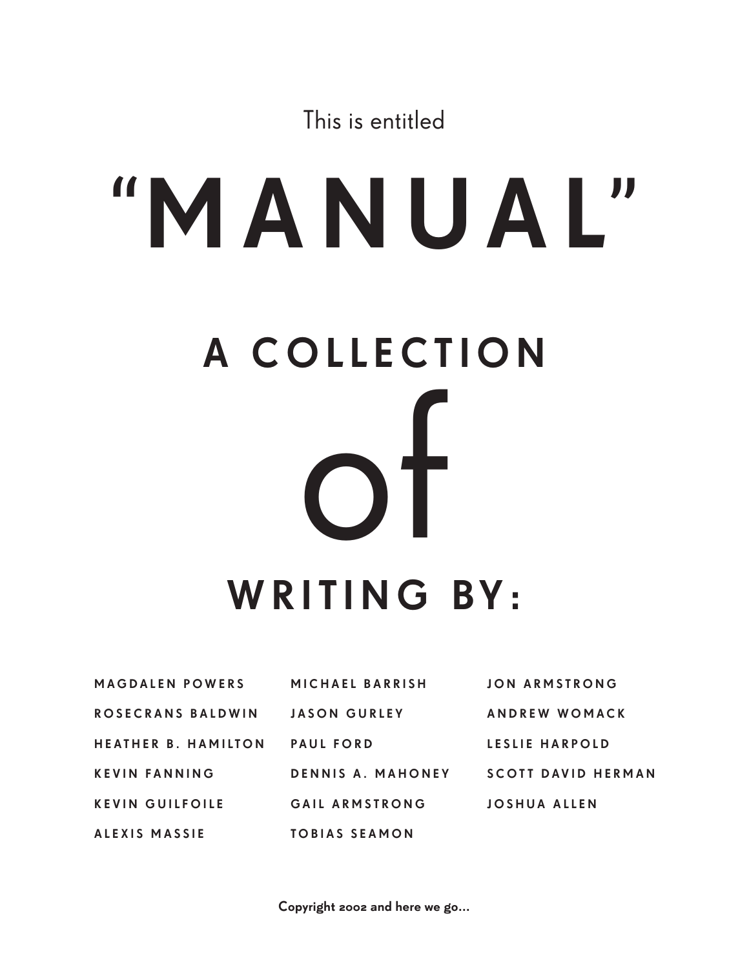# This is entitled "MANUAL" A COLLECTION of WRITING BY:

| <b>MAGDALEN POWERS</b> | <b>MICHAEL BARRISH</b> | <b>JON ARMSTRONG</b>      |
|------------------------|------------------------|---------------------------|
| ROSECRANS BALDWIN      | <b>JASON GURLEY</b>    | ANDREW WOMACK             |
| HEATHER B. HAMILTON    | <b>PAUL FORD</b>       | LESLIE HARPOLD            |
| <b>KEVIN FANNING</b>   | DENNIS A. MAHONEY      | <b>SCOTT DAVID HERMAN</b> |
| <b>KEVIN GUILFOILE</b> | <b>GAIL ARMSTRONG</b>  | <b>JOSHUA ALLEN</b>       |
| ALEXIS MASSIE          | <b>TOBIAS SEAMON</b>   |                           |

Copyright 2002 and here we go...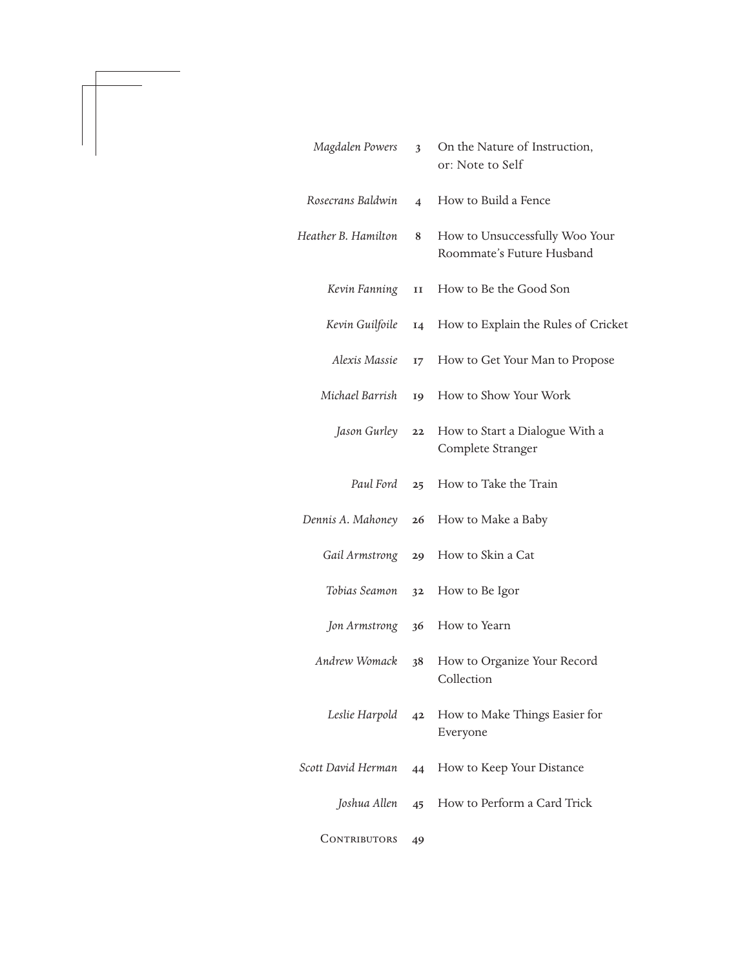| Magdalen Powers     | 3                       | On the Nature of Instruction,<br>or: Note to Self           |
|---------------------|-------------------------|-------------------------------------------------------------|
| Rosecrans Baldwin   | $\overline{\mathbf{4}}$ | How to Build a Fence                                        |
| Heather B. Hamilton | 8                       | How to Unsuccessfully Woo Your<br>Roommate's Future Husband |
| Kevin Fanning       | $_{\rm II}$             | How to Be the Good Son                                      |
| Kevin Guilfoile     | 14                      | How to Explain the Rules of Cricket                         |
| Alexis Massie       | 17                      | How to Get Your Man to Propose                              |
| Michael Barrish     | 19                      | How to Show Your Work                                       |
| Jason Gurley        | 22                      | How to Start a Dialogue With a<br>Complete Stranger         |
| Paul Ford           | 25                      | How to Take the Train                                       |
| Dennis A. Mahoney   | 26                      | How to Make a Baby                                          |
| Gail Armstrong      | 29                      | How to Skin a Cat                                           |
| Tobias Seamon       | 32                      | How to Be Igor                                              |
| Jon Armstrong       | 36                      | How to Yearn                                                |
| Andrew Womack       | 38                      | How to Organize Your Record<br>Collection                   |
| Leslie Harpold      | 42                      | How to Make Things Easier for<br>Everyone                   |
| Scott David Herman  | 44                      | How to Keep Your Distance                                   |
| Joshua Allen        | 45                      | How to Perform a Card Trick                                 |
| <b>CONTRIBUTORS</b> | 49                      |                                                             |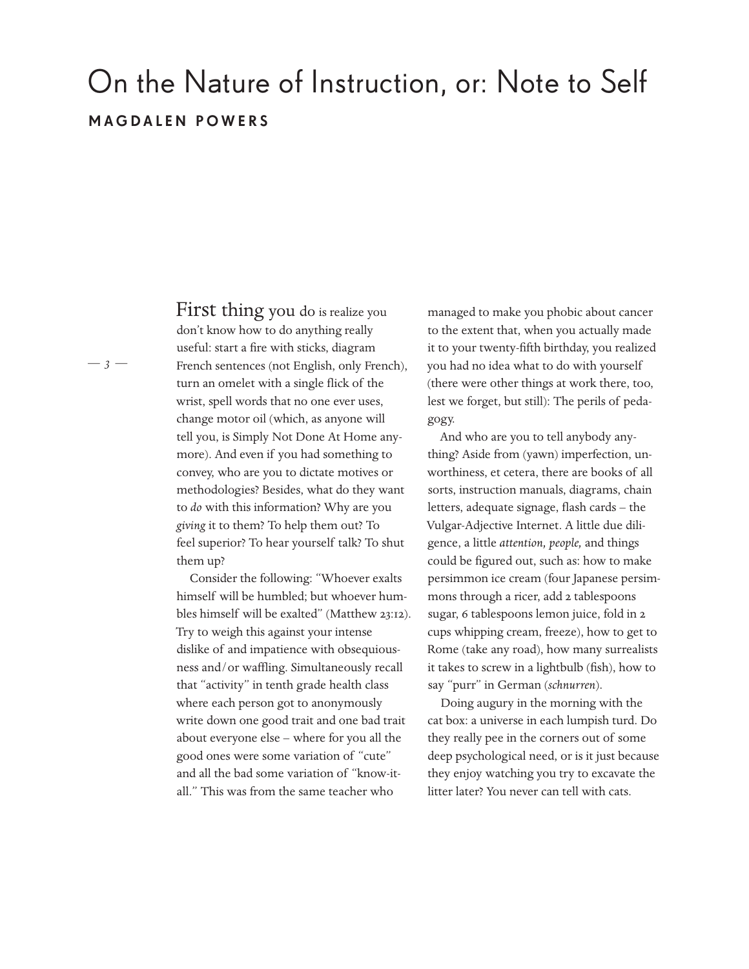### On the Nature of Instruction, or: Note to Self MAGDALEN POWERS

First thing you do is realize you don't know how to do anything really useful: start a fire with sticks, diagram French sentences (not English, only French), turn an omelet with a single flick of the wrist, spell words that no one ever uses, change motor oil (which, as anyone will tell you, is Simply Not Done At Home anymore). And even if you had something to convey, who are you to dictate motives or methodologies? Besides, what do they want to *do* with this information? Why are you *giving* it to them? To help them out? To feel superior? To hear yourself talk? To shut them up?

Consider the following: "Whoever exalts himself will be humbled; but whoever humbles himself will be exalted" (Matthew 23:12). Try to weigh this against your intense dislike of and impatience with obsequiousness and/or waffling. Simultaneously recall that "activity" in tenth grade health class where each person got to anonymously write down one good trait and one bad trait about everyone else – where for you all the good ones were some variation of "cute" and all the bad some variation of "know-itall." This was from the same teacher who

managed to make you phobic about cancer to the extent that, when you actually made it to your twenty-fifth birthday, you realized you had no idea what to do with yourself (there were other things at work there, too, lest we forget, but still): The perils of pedagogy.

And who are you to tell anybody anything? Aside from (yawn) imperfection, unworthiness, et cetera, there are books of all sorts, instruction manuals, diagrams, chain letters, adequate signage, flash cards – the Vulgar-Adjective Internet. A little due diligence, a little *attention, people,* and things could be figured out, such as: how to make persimmon ice cream (four Japanese persimmons through a ricer, add 2 tablespoons sugar, 6 tablespoons lemon juice, fold in 2 cups whipping cream, freeze), how to get to Rome (take any road), how many surrealists it takes to screw in a lightbulb (fish), how to say "purr" in German (*schnurren*).

Doing augury in the morning with the cat box: a universe in each lumpish turd. Do they really pee in the corners out of some deep psychological need, or is it just because they enjoy watching you try to excavate the litter later? You never can tell with cats.

*— 3 —*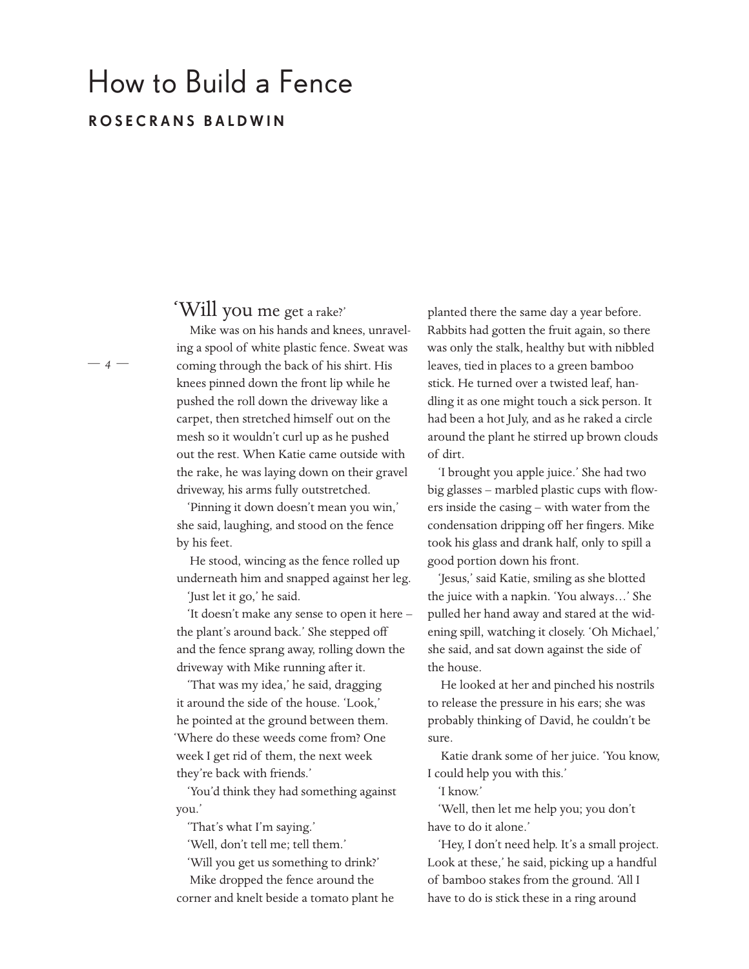### How to Build a Fence ROSECRANS BALDWIN

#### 'Will you me get a rake?'

Mike was on his hands and knees, unraveling a spool of white plastic fence. Sweat was coming through the back of his shirt. His knees pinned down the front lip while he pushed the roll down the driveway like a carpet, then stretched himself out on the mesh so it wouldn't curl up as he pushed out the rest. When Katie came outside with the rake, he was laying down on their gravel driveway, his arms fully outstretched.

'Pinning it down doesn't mean you win,' she said, laughing, and stood on the fence by his feet.

He stood, wincing as the fence rolled up underneath him and snapped against her leg. 'Just let it go,' he said.

'It doesn't make any sense to open it here – the plant's around back.' She stepped off and the fence sprang away, rolling down the driveway with Mike running after it.

'That was my idea,' he said, dragging it around the side of the house. 'Look,' he pointed at the ground between them. 'Where do these weeds come from? One week I get rid of them, the next week they're back with friends.'

'You'd think they had something against you.'

'That's what I'm saying.'

'Well, don't tell me; tell them.'

'Will you get us something to drink?'

Mike dropped the fence around the corner and knelt beside a tomato plant he planted there the same day a year before. Rabbits had gotten the fruit again, so there was only the stalk, healthy but with nibbled leaves, tied in places to a green bamboo stick. He turned over a twisted leaf, handling it as one might touch a sick person. It had been a hot July, and as he raked a circle around the plant he stirred up brown clouds of dirt.

'I brought you apple juice.' She had two big glasses – marbled plastic cups with flowers inside the casing – with water from the condensation dripping off her fingers. Mike took his glass and drank half, only to spill a good portion down his front.

'Jesus,' said Katie, smiling as she blotted the juice with a napkin. 'You always…' She pulled her hand away and stared at the widening spill, watching it closely. 'Oh Michael,' she said, and sat down against the side of the house.

He looked at her and pinched his nostrils to release the pressure in his ears; she was probably thinking of David, he couldn't be sure.

Katie drank some of her juice. 'You know, I could help you with this.'

'I know.'

'Well, then let me help you; you don't have to do it alone.'

'Hey, I don't need help. It's a small project. Look at these,' he said, picking up a handful of bamboo stakes from the ground. 'All I have to do is stick these in a ring around

*— 4 —*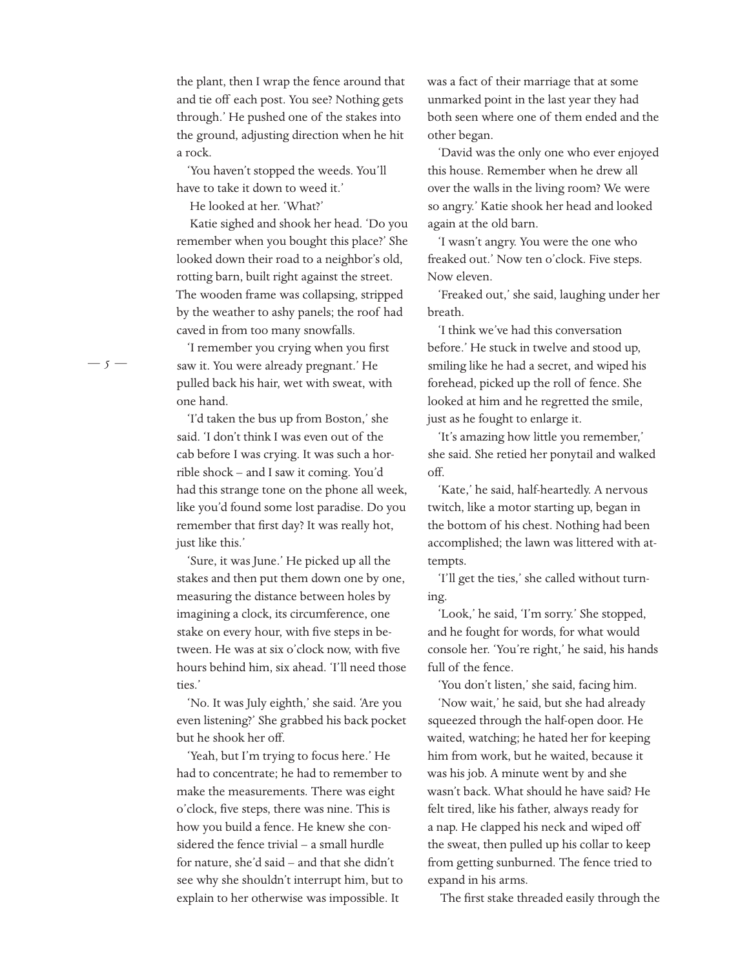the plant, then I wrap the fence around that and tie off each post. You see? Nothing gets through.' He pushed one of the stakes into the ground, adjusting direction when he hit a rock.

'You haven't stopped the weeds. You'll have to take it down to weed it.'

He looked at her. 'What?'

Katie sighed and shook her head. 'Do you remember when you bought this place?' She looked down their road to a neighbor's old, rotting barn, built right against the street. The wooden frame was collapsing, stripped by the weather to ashy panels; the roof had caved in from too many snowfalls.

'I remember you crying when you first saw it. You were already pregnant.' He pulled back his hair, wet with sweat, with one hand.

'I'd taken the bus up from Boston,' she said. 'I don't think I was even out of the cab before I was crying. It was such a horrible shock – and I saw it coming. You'd had this strange tone on the phone all week, like you'd found some lost paradise. Do you remember that first day? It was really hot, just like this.'

'Sure, it was June.' He picked up all the stakes and then put them down one by one, measuring the distance between holes by imagining a clock, its circumference, one stake on every hour, with five steps in between. He was at six o'clock now, with five hours behind him, six ahead. 'I'll need those ties.'

'No. It was July eighth,' she said. 'Are you even listening?' She grabbed his back pocket but he shook her off.

'Yeah, but I'm trying to focus here.' He had to concentrate; he had to remember to make the measurements. There was eight o'clock, five steps, there was nine. This is how you build a fence. He knew she considered the fence trivial – a small hurdle for nature, she'd said – and that she didn't see why she shouldn't interrupt him, but to explain to her otherwise was impossible. It

was a fact of their marriage that at some unmarked point in the last year they had both seen where one of them ended and the other began.

'David was the only one who ever enjoyed this house. Remember when he drew all over the walls in the living room? We were so angry.' Katie shook her head and looked again at the old barn.

'I wasn't angry. You were the one who freaked out.' Now ten o'clock. Five steps. Now eleven.

'Freaked out,' she said, laughing under her breath.

'I think we've had this conversation before.' He stuck in twelve and stood up, smiling like he had a secret, and wiped his forehead, picked up the roll of fence. She looked at him and he regretted the smile, just as he fought to enlarge it.

'It's amazing how little you remember,' she said. She retied her ponytail and walked off.

'Kate,' he said, half-heartedly. A nervous twitch, like a motor starting up, began in the bottom of his chest. Nothing had been accomplished; the lawn was littered with attempts.

'I'll get the ties,' she called without turning.

'Look,' he said, 'I'm sorry.' She stopped, and he fought for words, for what would console her. 'You're right,' he said, his hands full of the fence.

'You don't listen,' she said, facing him.

'Now wait,' he said, but she had already squeezed through the half-open door. He waited, watching; he hated her for keeping him from work, but he waited, because it was his job. A minute went by and she wasn't back. What should he have said? He felt tired, like his father, always ready for a nap. He clapped his neck and wiped off the sweat, then pulled up his collar to keep from getting sunburned. The fence tried to expand in his arms.

The first stake threaded easily through the

*— 5 —*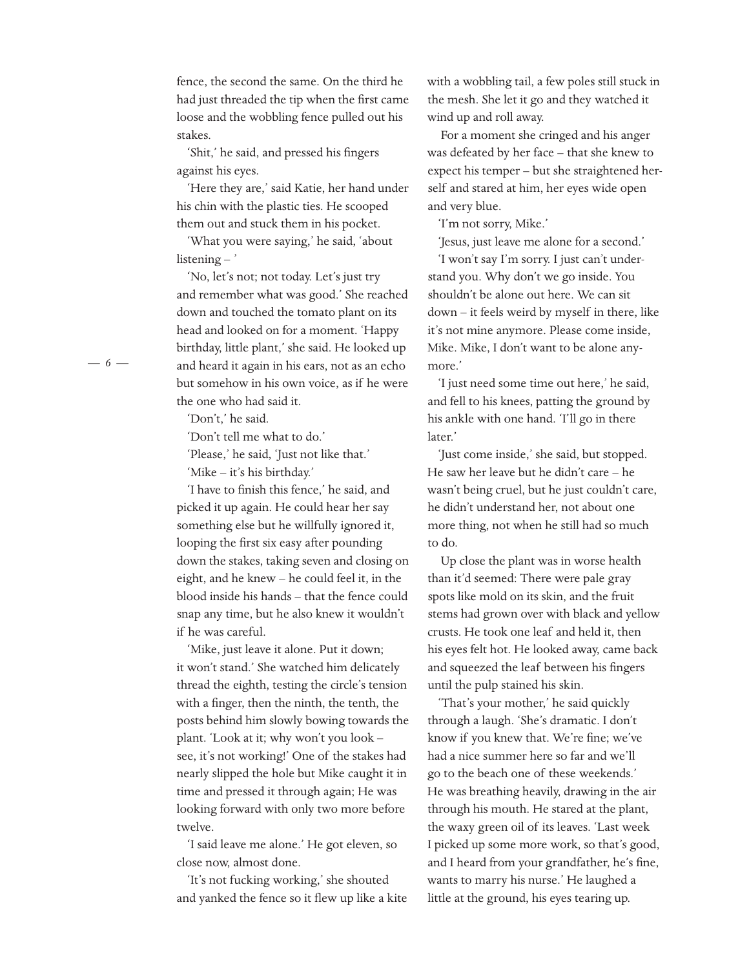fence, the second the same. On the third he had just threaded the tip when the first came loose and the wobbling fence pulled out his stakes.

'Shit,' he said, and pressed his fingers against his eyes.

'Here they are,' said Katie, her hand under his chin with the plastic ties. He scooped them out and stuck them in his pocket.

'What you were saying,' he said, 'about listening – '

'No, let's not; not today. Let's just try and remember what was good.' She reached down and touched the tomato plant on its head and looked on for a moment. 'Happy birthday, little plant,' she said. He looked up and heard it again in his ears, not as an echo but somehow in his own voice, as if he were the one who had said it.

'Don't,' he said.

'Don't tell me what to do.'

'Please,' he said, 'Just not like that.'

'Mike – it's his birthday.'

'I have to finish this fence,' he said, and picked it up again. He could hear her say something else but he willfully ignored it, looping the first six easy after pounding down the stakes, taking seven and closing on eight, and he knew – he could feel it, in the blood inside his hands – that the fence could snap any time, but he also knew it wouldn't if he was careful.

'Mike, just leave it alone. Put it down; it won't stand.' She watched him delicately thread the eighth, testing the circle's tension with a finger, then the ninth, the tenth, the posts behind him slowly bowing towards the plant. 'Look at it; why won't you look – see, it's not working!' One of the stakes had nearly slipped the hole but Mike caught it in time and pressed it through again; He was looking forward with only two more before twelve.

'I said leave me alone.' He got eleven, so close now, almost done.

'It's not fucking working,' she shouted and yanked the fence so it flew up like a kite with a wobbling tail, a few poles still stuck in the mesh. She let it go and they watched it wind up and roll away.

For a moment she cringed and his anger was defeated by her face – that she knew to expect his temper – but she straightened herself and stared at him, her eyes wide open and very blue.

'I'm not sorry, Mike.'

'Jesus, just leave me alone for a second.'

'I won't say I'm sorry. I just can't understand you. Why don't we go inside. You shouldn't be alone out here. We can sit down – it feels weird by myself in there, like it's not mine anymore. Please come inside, Mike. Mike, I don't want to be alone anymore.'

'I just need some time out here,' he said, and fell to his knees, patting the ground by his ankle with one hand. 'I'll go in there later.'

'Just come inside,' she said, but stopped. He saw her leave but he didn't care – he wasn't being cruel, but he just couldn't care, he didn't understand her, not about one more thing, not when he still had so much to do.

Up close the plant was in worse health than it'd seemed: There were pale gray spots like mold on its skin, and the fruit stems had grown over with black and yellow crusts. He took one leaf and held it, then his eyes felt hot. He looked away, came back and squeezed the leaf between his fingers until the pulp stained his skin.

'That's your mother,' he said quickly through a laugh. 'She's dramatic. I don't know if you knew that. We're fine; we've had a nice summer here so far and we'll go to the beach one of these weekends.' He was breathing heavily, drawing in the air through his mouth. He stared at the plant, the waxy green oil of its leaves. 'Last week I picked up some more work, so that's good, and I heard from your grandfather, he's fine, wants to marry his nurse.' He laughed a little at the ground, his eyes tearing up.

*— 6 —*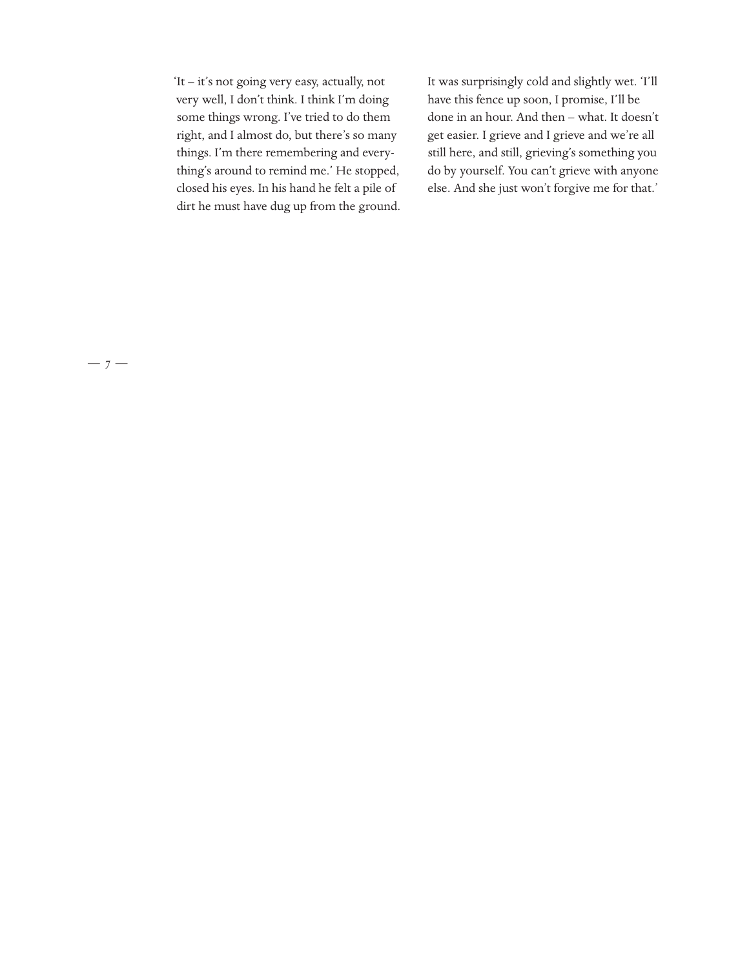'It – it's not going very easy, actually, not very well, I don't think. I think I'm doing some things wrong. I've tried to do them right, and I almost do, but there's so many things. I'm there remembering and everything's around to remind me.' He stopped, closed his eyes. In his hand he felt a pile of dirt he must have dug up from the ground. It was surprisingly cold and slightly wet. 'I'll have this fence up soon, I promise, I'll be done in an hour. And then – what. It doesn't get easier. I grieve and I grieve and we're all still here, and still, grieving's something you do by yourself. You can't grieve with anyone else. And she just won't forgive me for that.'

*— 7 —*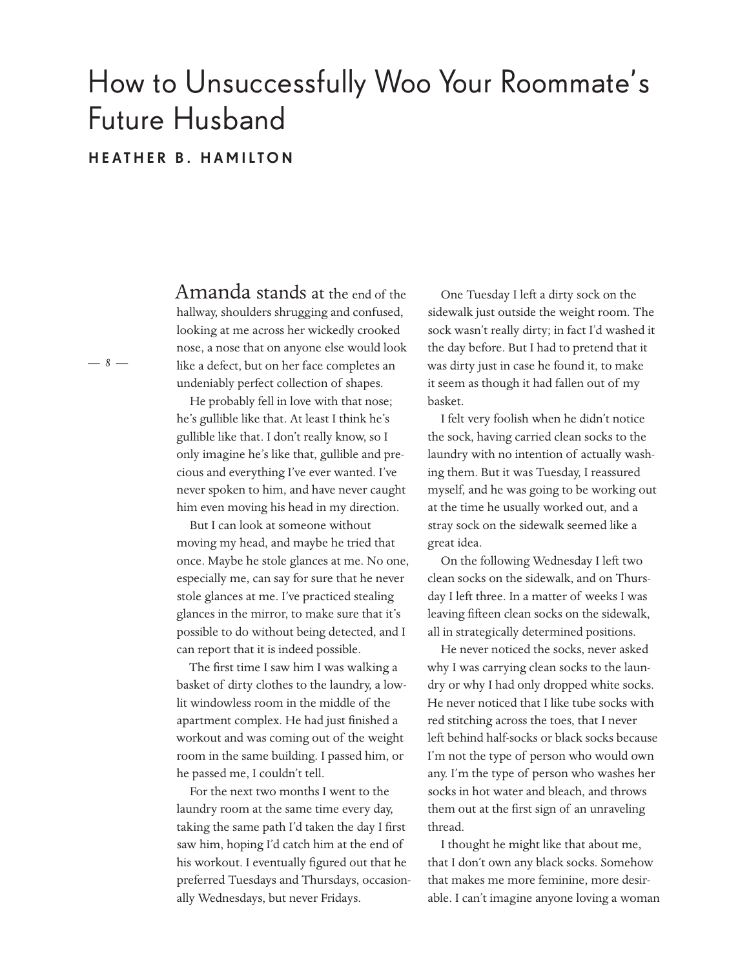### How to Unsuccessfully Woo Your Roommate's Future Husband

HEATHER B. HAMILTON

Amanda stands at the end of the hallway, shoulders shrugging and confused, looking at me across her wickedly crooked nose, a nose that on anyone else would look like a defect, but on her face completes an undeniably perfect collection of shapes.

He probably fell in love with that nose; he's gullible like that. At least I think he's gullible like that. I don't really know, so I only imagine he's like that, gullible and precious and everything I've ever wanted. I've never spoken to him, and have never caught him even moving his head in my direction.

But I can look at someone without moving my head, and maybe he tried that once. Maybe he stole glances at me. No one, especially me, can say for sure that he never stole glances at me. I've practiced stealing glances in the mirror, to make sure that it's possible to do without being detected, and I can report that it is indeed possible.

The first time I saw him I was walking a basket of dirty clothes to the laundry, a lowlit windowless room in the middle of the apartment complex. He had just finished a workout and was coming out of the weight room in the same building. I passed him, or he passed me, I couldn't tell.

For the next two months I went to the laundry room at the same time every day, taking the same path I'd taken the day I first saw him, hoping I'd catch him at the end of his workout. I eventually figured out that he preferred Tuesdays and Thursdays, occasionally Wednesdays, but never Fridays.

One Tuesday I left a dirty sock on the sidewalk just outside the weight room. The sock wasn't really dirty; in fact I'd washed it the day before. But I had to pretend that it was dirty just in case he found it, to make it seem as though it had fallen out of my basket.

I felt very foolish when he didn't notice the sock, having carried clean socks to the laundry with no intention of actually washing them. But it was Tuesday, I reassured myself, and he was going to be working out at the time he usually worked out, and a stray sock on the sidewalk seemed like a great idea.

On the following Wednesday I left two clean socks on the sidewalk, and on Thursday I left three. In a matter of weeks I was leaving fifteen clean socks on the sidewalk, all in strategically determined positions.

He never noticed the socks, never asked why I was carrying clean socks to the laundry or why I had only dropped white socks. He never noticed that I like tube socks with red stitching across the toes, that I never left behind half-socks or black socks because I'm not the type of person who would own any. I'm the type of person who washes her socks in hot water and bleach, and throws them out at the first sign of an unraveling thread.

I thought he might like that about me, that I don't own any black socks. Somehow that makes me more feminine, more desirable. I can't imagine anyone loving a woman

*— 8 —*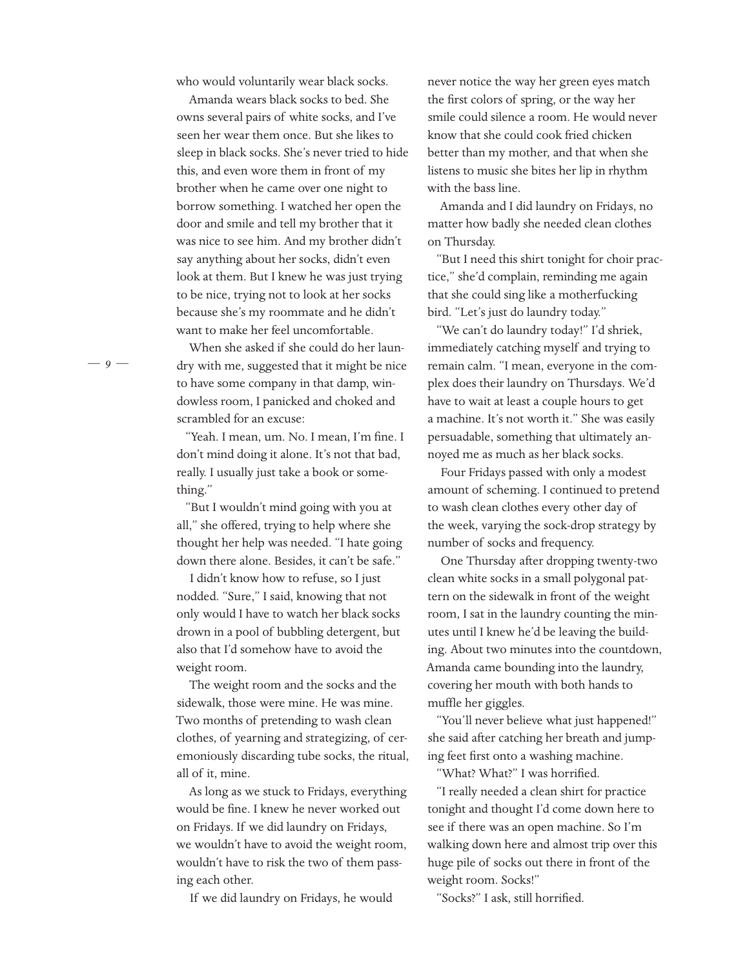who would voluntarily wear black socks.

Amanda wears black socks to bed. She owns several pairs of white socks, and I've seen her wear them once. But she likes to sleep in black socks. She's never tried to hide this, and even wore them in front of my brother when he came over one night to borrow something. I watched her open the door and smile and tell my brother that it was nice to see him. And my brother didn't say anything about her socks, didn't even look at them. But I knew he was just trying to be nice, trying not to look at her socks because she's my roommate and he didn't want to make her feel uncomfortable.

When she asked if she could do her laundry with me, suggested that it might be nice to have some company in that damp, windowless room, I panicked and choked and scrambled for an excuse:

"Yeah. I mean, um. No. I mean, I'm fine. I don't mind doing it alone. It's not that bad, really. I usually just take a book or something."

"But I wouldn't mind going with you at all," she offered, trying to help where she thought her help was needed. "I hate going down there alone. Besides, it can't be safe."

I didn't know how to refuse, so I just nodded. "Sure," I said, knowing that not only would I have to watch her black socks drown in a pool of bubbling detergent, but also that I'd somehow have to avoid the weight room.

The weight room and the socks and the sidewalk, those were mine. He was mine. Two months of pretending to wash clean clothes, of yearning and strategizing, of ceremoniously discarding tube socks, the ritual, all of it, mine.

As long as we stuck to Fridays, everything would be fine. I knew he never worked out on Fridays. If we did laundry on Fridays, we wouldn't have to avoid the weight room, wouldn't have to risk the two of them passing each other.

If we did laundry on Fridays, he would

never notice the way her green eyes match the first colors of spring, or the way her smile could silence a room. He would never know that she could cook fried chicken better than my mother, and that when she listens to music she bites her lip in rhythm with the bass line.

Amanda and I did laundry on Fridays, no matter how badly she needed clean clothes on Thursday.

"But I need this shirt tonight for choir practice," she'd complain, reminding me again that she could sing like a motherfucking bird. "Let's just do laundry today."

"We can't do laundry today!" I'd shriek, immediately catching myself and trying to remain calm. "I mean, everyone in the complex does their laundry on Thursdays. We'd have to wait at least a couple hours to get a machine. It's not worth it." She was easily persuadable, something that ultimately annoyed me as much as her black socks.

Four Fridays passed with only a modest amount of scheming. I continued to pretend to wash clean clothes every other day of the week, varying the sock-drop strategy by number of socks and frequency.

One Thursday after dropping twenty-two clean white socks in a small polygonal pattern on the sidewalk in front of the weight room, I sat in the laundry counting the minutes until I knew he'd be leaving the building. About two minutes into the countdown, Amanda came bounding into the laundry, covering her mouth with both hands to muffle her giggles.

"You'll never believe what just happened!" she said after catching her breath and jumping feet first onto a washing machine.

"What? What?" I was horrified.

"I really needed a clean shirt for practice tonight and thought I'd come down here to see if there was an open machine. So I'm walking down here and almost trip over this huge pile of socks out there in front of the weight room. Socks!"

"Socks?" I ask, still horrified.

*— 9 —*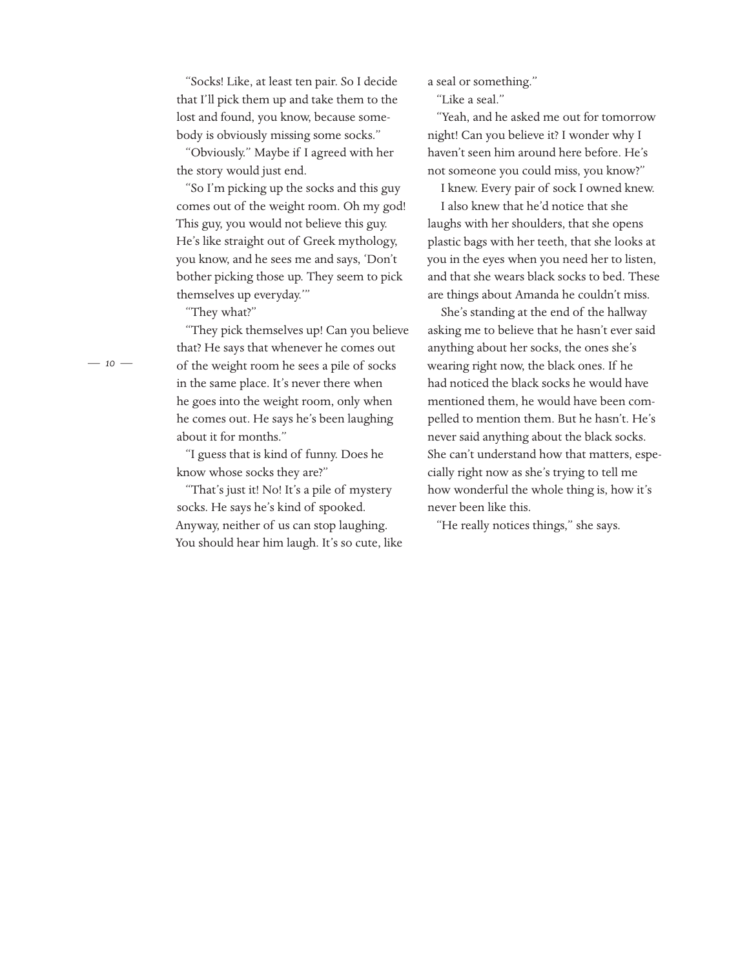"Socks! Like, at least ten pair. So I decide that I'll pick them up and take them to the lost and found, you know, because somebody is obviously missing some socks."

"Obviously." Maybe if I agreed with her the story would just end.

"So I'm picking up the socks and this guy comes out of the weight room. Oh my god! This guy, you would not believe this guy. He's like straight out of Greek mythology, you know, and he sees me and says, 'Don't bother picking those up. They seem to pick themselves up everyday.'"

"They what?"

"They pick themselves up! Can you believe that? He says that whenever he comes out of the weight room he sees a pile of socks in the same place. It's never there when he goes into the weight room, only when he comes out. He says he's been laughing about it for months."

"I guess that is kind of funny. Does he know whose socks they are?"

"That's just it! No! It's a pile of mystery socks. He says he's kind of spooked. Anyway, neither of us can stop laughing. You should hear him laugh. It's so cute, like a seal or something."

"Like a seal."

"Yeah, and he asked me out for tomorrow night! Can you believe it? I wonder why I haven't seen him around here before. He's not someone you could miss, you know?"

I knew. Every pair of sock I owned knew.

I also knew that he'd notice that she laughs with her shoulders, that she opens plastic bags with her teeth, that she looks at you in the eyes when you need her to listen, and that she wears black socks to bed. These are things about Amanda he couldn't miss.

She's standing at the end of the hallway asking me to believe that he hasn't ever said anything about her socks, the ones she's wearing right now, the black ones. If he had noticed the black socks he would have mentioned them, he would have been compelled to mention them. But he hasn't. He's never said anything about the black socks. She can't understand how that matters, especially right now as she's trying to tell me how wonderful the whole thing is, how it's never been like this.

"He really notices things," she says.

*— 10 —*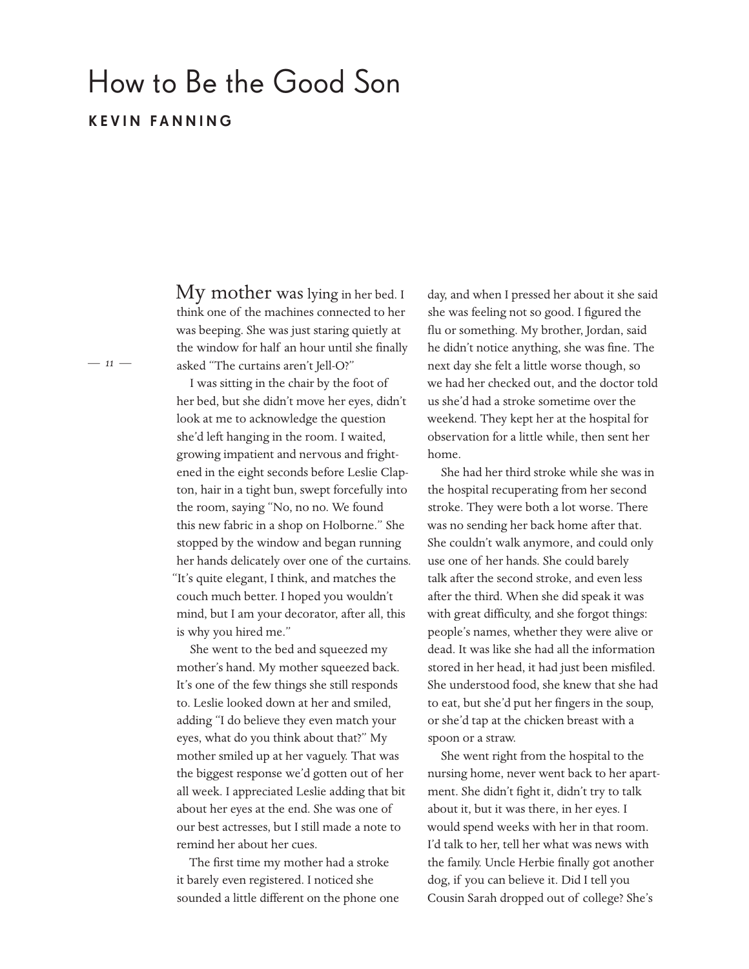### How to Be the Good Son KEVIN FANNING

My mother was lying in her bed. I think one of the machines connected to her was beeping. She was just staring quietly at the window for half an hour until she finally asked "The curtains aren't Jell-O?"

I was sitting in the chair by the foot of her bed, but she didn't move her eyes, didn't look at me to acknowledge the question she'd left hanging in the room. I waited, growing impatient and nervous and frightened in the eight seconds before Leslie Clapton, hair in a tight bun, swept forcefully into the room, saying "No, no no. We found this new fabric in a shop on Holborne." She stopped by the window and began running her hands delicately over one of the curtains. "It's quite elegant, I think, and matches the couch much better. I hoped you wouldn't mind, but I am your decorator, after all, this is why you hired me."

She went to the bed and squeezed my mother's hand. My mother squeezed back. It's one of the few things she still responds to. Leslie looked down at her and smiled, adding "I do believe they even match your eyes, what do you think about that?" My mother smiled up at her vaguely. That was the biggest response we'd gotten out of her all week. I appreciated Leslie adding that bit about her eyes at the end. She was one of our best actresses, but I still made a note to remind her about her cues.

The first time my mother had a stroke it barely even registered. I noticed she sounded a little different on the phone one day, and when I pressed her about it she said she was feeling not so good. I figured the flu or something. My brother, Jordan, said he didn't notice anything, she was fine. The next day she felt a little worse though, so we had her checked out, and the doctor told us she'd had a stroke sometime over the weekend. They kept her at the hospital for observation for a little while, then sent her home.

She had her third stroke while she was in the hospital recuperating from her second stroke. They were both a lot worse. There was no sending her back home after that. She couldn't walk anymore, and could only use one of her hands. She could barely talk after the second stroke, and even less after the third. When she did speak it was with great difficulty, and she forgot things: people's names, whether they were alive or dead. It was like she had all the information stored in her head, it had just been misfiled. She understood food, she knew that she had to eat, but she'd put her fingers in the soup, or she'd tap at the chicken breast with a spoon or a straw.

She went right from the hospital to the nursing home, never went back to her apartment. She didn't fight it, didn't try to talk about it, but it was there, in her eyes. I would spend weeks with her in that room. I'd talk to her, tell her what was news with the family. Uncle Herbie finally got another dog, if you can believe it. Did I tell you Cousin Sarah dropped out of college? She's

*— 11 —*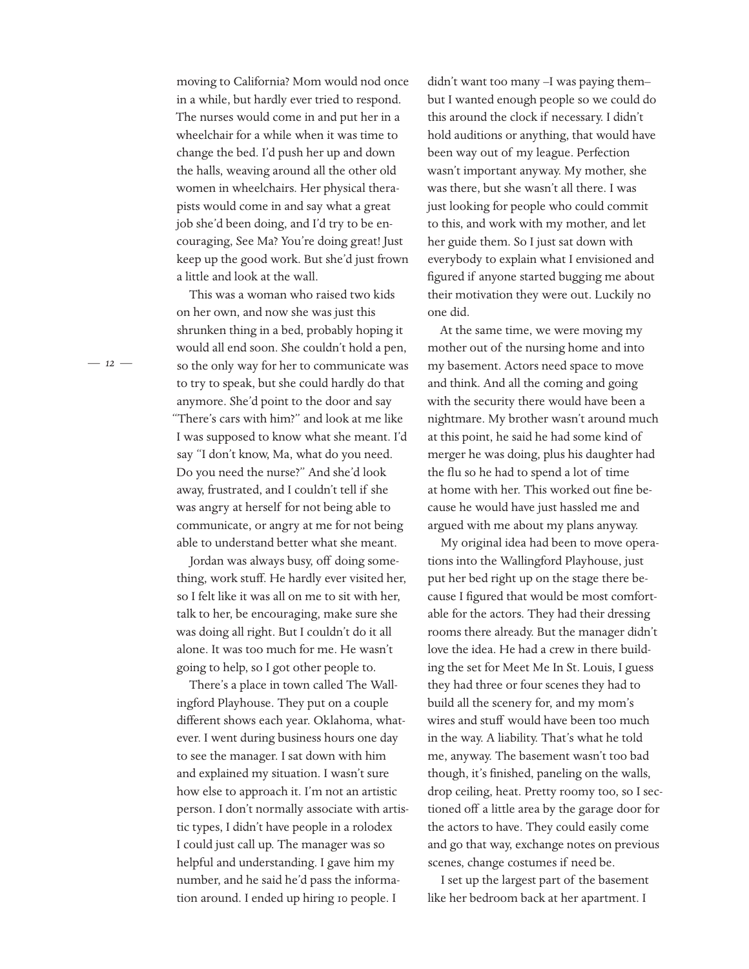moving to California? Mom would nod once in a while, but hardly ever tried to respond. The nurses would come in and put her in a wheelchair for a while when it was time to change the bed. I'd push her up and down the halls, weaving around all the other old women in wheelchairs. Her physical therapists would come in and say what a great job she'd been doing, and I'd try to be encouraging, See Ma? You're doing great! Just keep up the good work. But she'd just frown a little and look at the wall.

This was a woman who raised two kids on her own, and now she was just this shrunken thing in a bed, probably hoping it would all end soon. She couldn't hold a pen, so the only way for her to communicate was to try to speak, but she could hardly do that anymore. She'd point to the door and say "There's cars with him?" and look at me like I was supposed to know what she meant. I'd say "I don't know, Ma, what do you need. Do you need the nurse?" And she'd look away, frustrated, and I couldn't tell if she was angry at herself for not being able to communicate, or angry at me for not being able to understand better what she meant.

Jordan was always busy, off doing something, work stuff. He hardly ever visited her, so I felt like it was all on me to sit with her, talk to her, be encouraging, make sure she was doing all right. But I couldn't do it all alone. It was too much for me. He wasn't going to help, so I got other people to.

There's a place in town called The Wallingford Playhouse. They put on a couple different shows each year. Oklahoma, whatever. I went during business hours one day to see the manager. I sat down with him and explained my situation. I wasn't sure how else to approach it. I'm not an artistic person. I don't normally associate with artistic types, I didn't have people in a rolodex I could just call up. The manager was so helpful and understanding. I gave him my number, and he said he'd pass the information around. I ended up hiring 10 people. I

didn't want too many –I was paying them– but I wanted enough people so we could do this around the clock if necessary. I didn't hold auditions or anything, that would have been way out of my league. Perfection wasn't important anyway. My mother, she was there, but she wasn't all there. I was just looking for people who could commit to this, and work with my mother, and let her guide them. So I just sat down with everybody to explain what I envisioned and figured if anyone started bugging me about their motivation they were out. Luckily no one did.

At the same time, we were moving my mother out of the nursing home and into my basement. Actors need space to move and think. And all the coming and going with the security there would have been a nightmare. My brother wasn't around much at this point, he said he had some kind of merger he was doing, plus his daughter had the flu so he had to spend a lot of time at home with her. This worked out fine because he would have just hassled me and argued with me about my plans anyway.

My original idea had been to move operations into the Wallingford Playhouse, just put her bed right up on the stage there because I figured that would be most comfortable for the actors. They had their dressing rooms there already. But the manager didn't love the idea. He had a crew in there building the set for Meet Me In St. Louis, I guess they had three or four scenes they had to build all the scenery for, and my mom's wires and stuff would have been too much in the way. A liability. That's what he told me, anyway. The basement wasn't too bad though, it's finished, paneling on the walls, drop ceiling, heat. Pretty roomy too, so I sectioned off a little area by the garage door for the actors to have. They could easily come and go that way, exchange notes on previous scenes, change costumes if need be.

I set up the largest part of the basement like her bedroom back at her apartment. I

*— 12 —*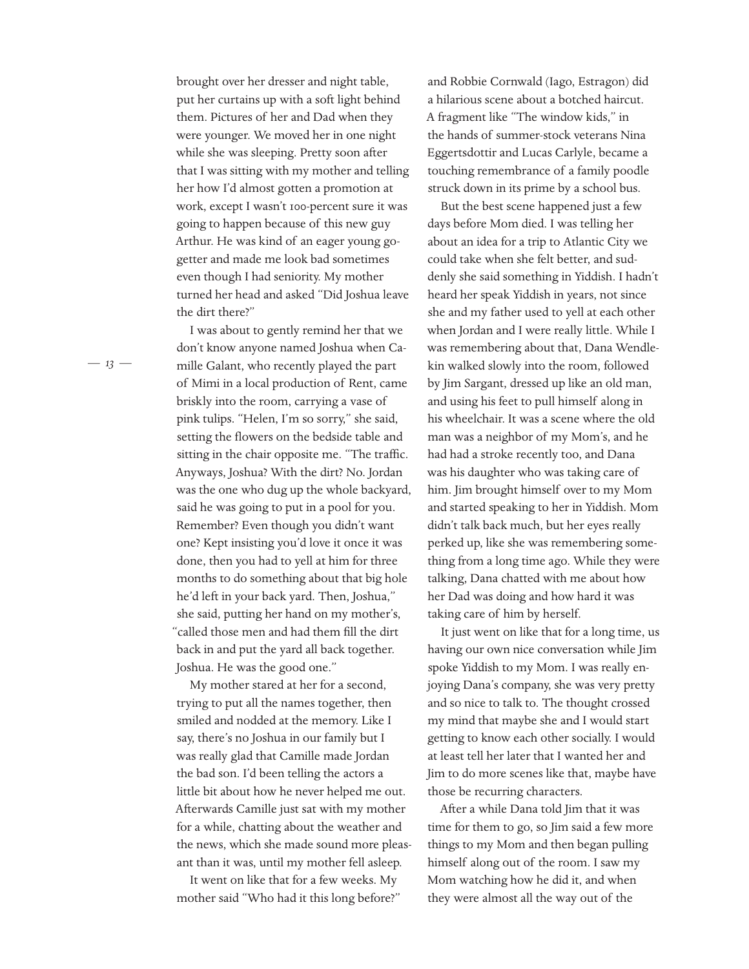brought over her dresser and night table, put her curtains up with a soft light behind them. Pictures of her and Dad when they were younger. We moved her in one night while she was sleeping. Pretty soon after that I was sitting with my mother and telling her how I'd almost gotten a promotion at work, except I wasn't 100-percent sure it was going to happen because of this new guy Arthur. He was kind of an eager young gogetter and made me look bad sometimes even though I had seniority. My mother turned her head and asked "Did Joshua leave the dirt there?"

I was about to gently remind her that we don't know anyone named Joshua when Camille Galant, who recently played the part of Mimi in a local production of Rent, came briskly into the room, carrying a vase of pink tulips. "Helen, I'm so sorry," she said, setting the flowers on the bedside table and sitting in the chair opposite me. "The traffic. Anyways, Joshua? With the dirt? No. Jordan was the one who dug up the whole backyard, said he was going to put in a pool for you. Remember? Even though you didn't want one? Kept insisting you'd love it once it was done, then you had to yell at him for three months to do something about that big hole he'd left in your back yard. Then, Joshua," she said, putting her hand on my mother's, "called those men and had them fill the dirt back in and put the yard all back together. Joshua. He was the good one."

My mother stared at her for a second, trying to put all the names together, then smiled and nodded at the memory. Like I say, there's no Joshua in our family but I was really glad that Camille made Jordan the bad son. I'd been telling the actors a little bit about how he never helped me out. Afterwards Camille just sat with my mother for a while, chatting about the weather and the news, which she made sound more pleasant than it was, until my mother fell asleep.

It went on like that for a few weeks. My mother said "Who had it this long before?" and Robbie Cornwald (Iago, Estragon) did a hilarious scene about a botched haircut. A fragment like "The window kids," in the hands of summer-stock veterans Nina Eggertsdottir and Lucas Carlyle, became a touching remembrance of a family poodle struck down in its prime by a school bus.

But the best scene happened just a few days before Mom died. I was telling her about an idea for a trip to Atlantic City we could take when she felt better, and suddenly she said something in Yiddish. I hadn't heard her speak Yiddish in years, not since she and my father used to yell at each other when Jordan and I were really little. While I was remembering about that, Dana Wendlekin walked slowly into the room, followed by Jim Sargant, dressed up like an old man, and using his feet to pull himself along in his wheelchair. It was a scene where the old man was a neighbor of my Mom's, and he had had a stroke recently too, and Dana was his daughter who was taking care of him. Jim brought himself over to my Mom and started speaking to her in Yiddish. Mom didn't talk back much, but her eyes really perked up, like she was remembering something from a long time ago. While they were talking, Dana chatted with me about how her Dad was doing and how hard it was taking care of him by herself.

It just went on like that for a long time, us having our own nice conversation while Jim spoke Yiddish to my Mom. I was really enjoying Dana's company, she was very pretty and so nice to talk to. The thought crossed my mind that maybe she and I would start getting to know each other socially. I would at least tell her later that I wanted her and Jim to do more scenes like that, maybe have those be recurring characters.

After a while Dana told Jim that it was time for them to go, so Jim said a few more things to my Mom and then began pulling himself along out of the room. I saw my Mom watching how he did it, and when they were almost all the way out of the

*— 13 —*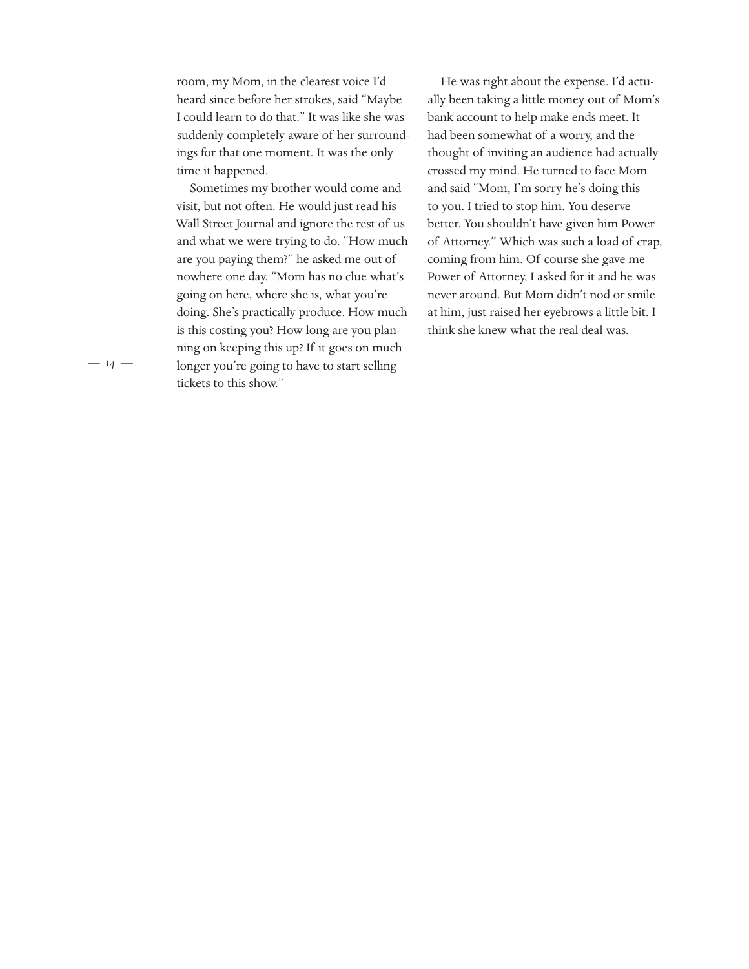room, my Mom, in the clearest voice I'd heard since before her strokes, said "Maybe I could learn to do that." It was like she was suddenly completely aware of her surroundings for that one moment. It was the only time it happened.

Sometimes my brother would come and visit, but not often. He would just read his Wall Street Journal and ignore the rest of us and what we were trying to do. "How much are you paying them?" he asked me out of nowhere one day. "Mom has no clue what's going on here, where she is, what you're doing. She's practically produce. How much is this costing you? How long are you planning on keeping this up? If it goes on much longer you're going to have to start selling tickets to this show."

He was right about the expense. I'd actually been taking a little money out of Mom's bank account to help make ends meet. It had been somewhat of a worry, and the thought of inviting an audience had actually crossed my mind. He turned to face Mom and said "Mom, I'm sorry he's doing this to you. I tried to stop him. You deserve better. You shouldn't have given him Power of Attorney." Which was such a load of crap, coming from him. Of course she gave me Power of Attorney, I asked for it and he was never around. But Mom didn't nod or smile at him, just raised her eyebrows a little bit. I think she knew what the real deal was.

*— 14 —*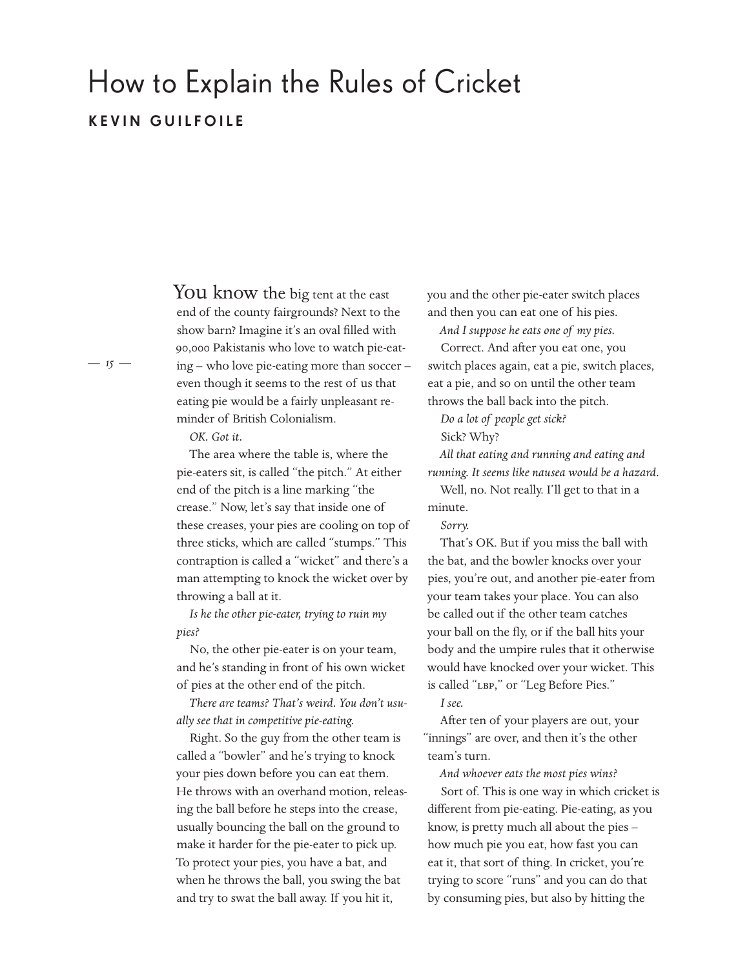### How to Explain the Rules of Cricket KEVIN GUILFOILE

You know the big tent at the east end of the county fairgrounds? Next to the show barn? Imagine it's an oval filled with 90,000 Pakistanis who love to watch pie-eating – who love pie-eating more than soccer – even though it seems to the rest of us that eating pie would be a fairly unpleasant reminder of British Colonialism.

*OK. Got it.*

The area where the table is, where the pie-eaters sit, is called "the pitch." At either end of the pitch is a line marking "the crease." Now, let's say that inside one of these creases, your pies are cooling on top of three sticks, which are called "stumps." This contraption is called a "wicket" and there's a man attempting to knock the wicket over by throwing a ball at it.

*Is he the other pie-eater, trying to ruin my pies?*

No, the other pie-eater is on your team, and he's standing in front of his own wicket of pies at the other end of the pitch.

*There are teams? That's weird. You don't usually see that in competitive pie-eating.*

Right. So the guy from the other team is called a "bowler" and he's trying to knock your pies down before you can eat them. He throws with an overhand motion, releasing the ball before he steps into the crease, usually bouncing the ball on the ground to make it harder for the pie-eater to pick up. To protect your pies, you have a bat, and when he throws the ball, you swing the bat and try to swat the ball away. If you hit it,

you and the other pie-eater switch places and then you can eat one of his pies.

*And I suppose he eats one of my pies.*

Correct. And after you eat one, you switch places again, eat a pie, switch places, eat a pie, and so on until the other team throws the ball back into the pitch.

*Do a lot of people get sick?* Sick? Why?

*All that eating and running and eating and running. It seems like nausea would be a hazard.*

Well, no. Not really. I'll get to that in a minute.

*Sorry.*

That's OK. But if you miss the ball with the bat, and the bowler knocks over your pies, you're out, and another pie-eater from your team takes your place. You can also be called out if the other team catches your ball on the fly, or if the ball hits your body and the umpire rules that it otherwise would have knocked over your wicket. This is called "lbp," or "Leg Before Pies."

*I see.*

After ten of your players are out, your "innings" are over, and then it's the other team's turn.

*And whoever eats the most pies wins?*

Sort of. This is one way in which cricket is different from pie-eating. Pie-eating, as you know, is pretty much all about the pies – how much pie you eat, how fast you can eat it, that sort of thing. In cricket, you're trying to score "runs" and you can do that by consuming pies, but also by hitting the

*— 15 —*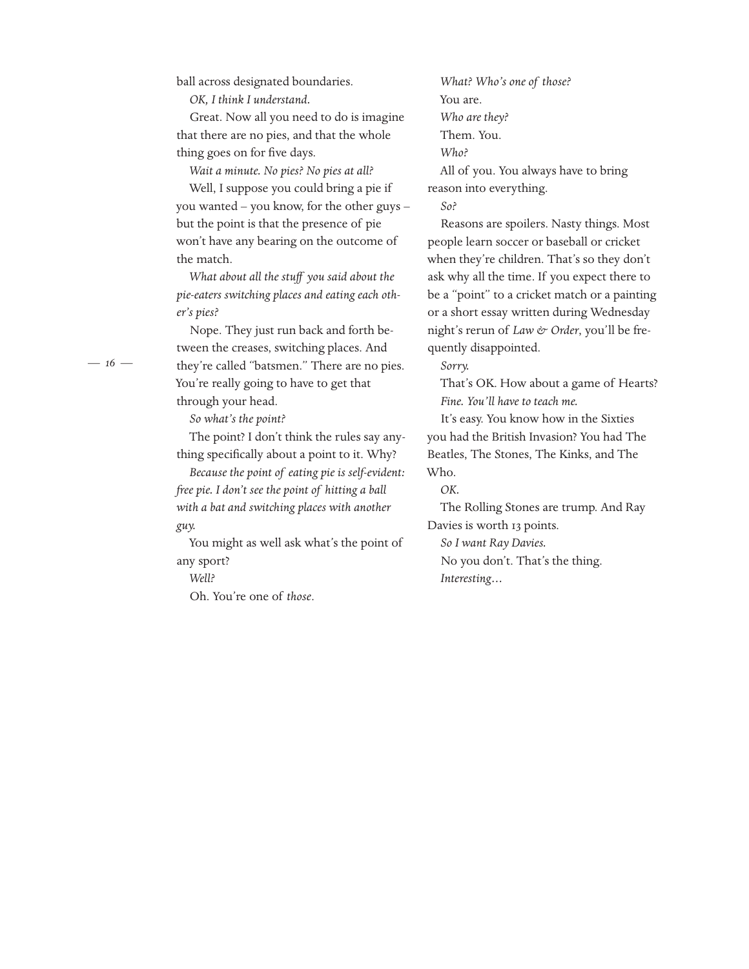ball across designated boundaries.

*OK, I think I understand.*

Great. Now all you need to do is imagine that there are no pies, and that the whole thing goes on for five days.

*Wait a minute. No pies? No pies at all?*

Well, I suppose you could bring a pie if you wanted – you know, for the other guys – but the point is that the presence of pie won't have any bearing on the outcome of the match.

*What about all the stuff you said about the pie-eaters switching places and eating each other's pies?*

Nope. They just run back and forth between the creases, switching places. And they're called "batsmen." There are no pies. You're really going to have to get that through your head.

*So what's the point?*

The point? I don't think the rules say anything specifically about a point to it. Why?

*Because the point of eating pie is self-evident: free pie. I don't see the point of hitting a ball with a bat and switching places with another guy.*

You might as well ask what's the point of any sport?

*Well?*

Oh. You're one of *those*.

*What? Who's one of those?* You are. *Who are they?* Them. You. *Who?* All of you. You always have to bring

reason into everything.

*So?*

Reasons are spoilers. Nasty things. Most people learn soccer or baseball or cricket when they're children. That's so they don't ask why all the time. If you expect there to be a "point" to a cricket match or a painting or a short essay written during Wednesday night's rerun of *Law & Order*, you'll be frequently disappointed.

*Sorry.*

That's OK. How about a game of Hearts? *Fine. You'll have to teach me.*

It's easy. You know how in the Sixties you had the British Invasion? You had The Beatles, The Stones, The Kinks, and The Who.

*OK.*

The Rolling Stones are trump. And Ray Davies is worth 13 points.

*So I want Ray Davies.*

No you don't. That's the thing. *Interesting…*

*— 16 —*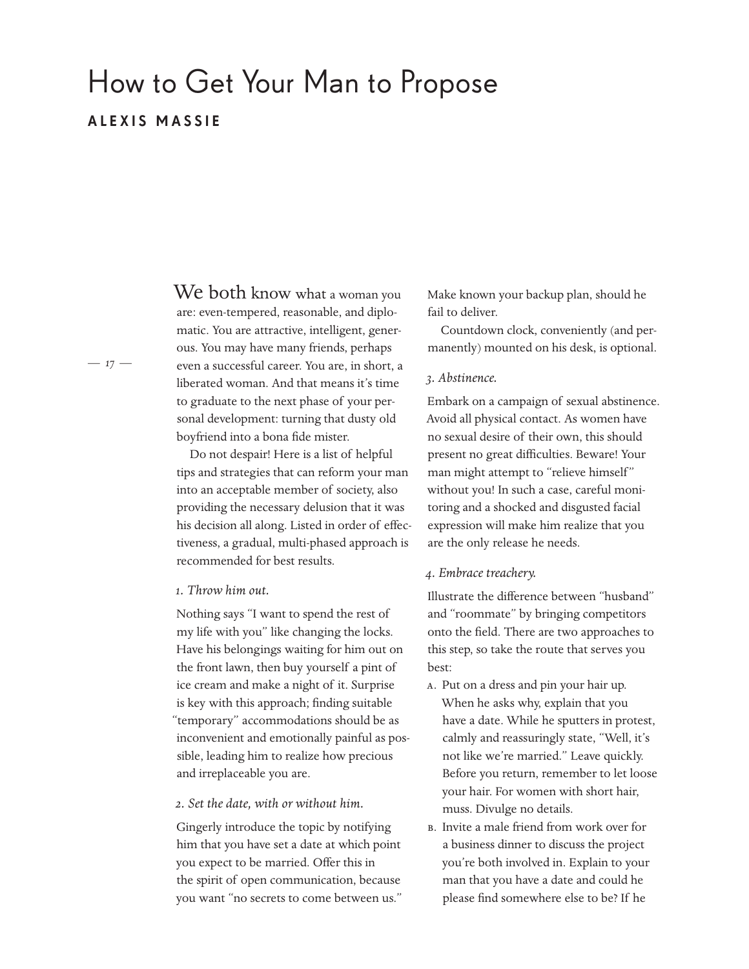### How to Get Your Man to Propose ALEXIS MASSIE

We both know what a woman you are: even-tempered, reasonable, and diplomatic. You are attractive, intelligent, generous. You may have many friends, perhaps even a successful career. You are, in short, a liberated woman. And that means it's time to graduate to the next phase of your personal development: turning that dusty old boyfriend into a bona fide mister.

Do not despair! Here is a list of helpful tips and strategies that can reform your man into an acceptable member of society, also providing the necessary delusion that it was his decision all along. Listed in order of effectiveness, a gradual, multi-phased approach is recommended for best results.

#### *1. Throw him out.*

Nothing says "I want to spend the rest of my life with you" like changing the locks. Have his belongings waiting for him out on the front lawn, then buy yourself a pint of ice cream and make a night of it. Surprise is key with this approach; finding suitable "temporary" accommodations should be as inconvenient and emotionally painful as possible, leading him to realize how precious and irreplaceable you are.

#### *2. Set the date, with or without him.*

Gingerly introduce the topic by notifying him that you have set a date at which point you expect to be married. Offer this in the spirit of open communication, because you want "no secrets to come between us."

Make known your backup plan, should he fail to deliver.

Countdown clock, conveniently (and permanently) mounted on his desk, is optional.

#### *3. Abstinence.*

Embark on a campaign of sexual abstinence. Avoid all physical contact. As women have no sexual desire of their own, this should present no great difficulties. Beware! Your man might attempt to "relieve himself" without you! In such a case, careful monitoring and a shocked and disgusted facial expression will make him realize that you are the only release he needs.

#### *4. Embrace treachery.*

Illustrate the difference between "husband" and "roommate" by bringing competitors onto the field. There are two approaches to this step, so take the route that serves you best:

- a. Put on a dress and pin your hair up. When he asks why, explain that you have a date. While he sputters in protest, calmly and reassuringly state, "Well, it's not like we're married." Leave quickly. Before you return, remember to let loose your hair. For women with short hair, muss. Divulge no details.
- b. Invite a male friend from work over for a business dinner to discuss the project you're both involved in. Explain to your man that you have a date and could he please find somewhere else to be? If he

*— 17 —*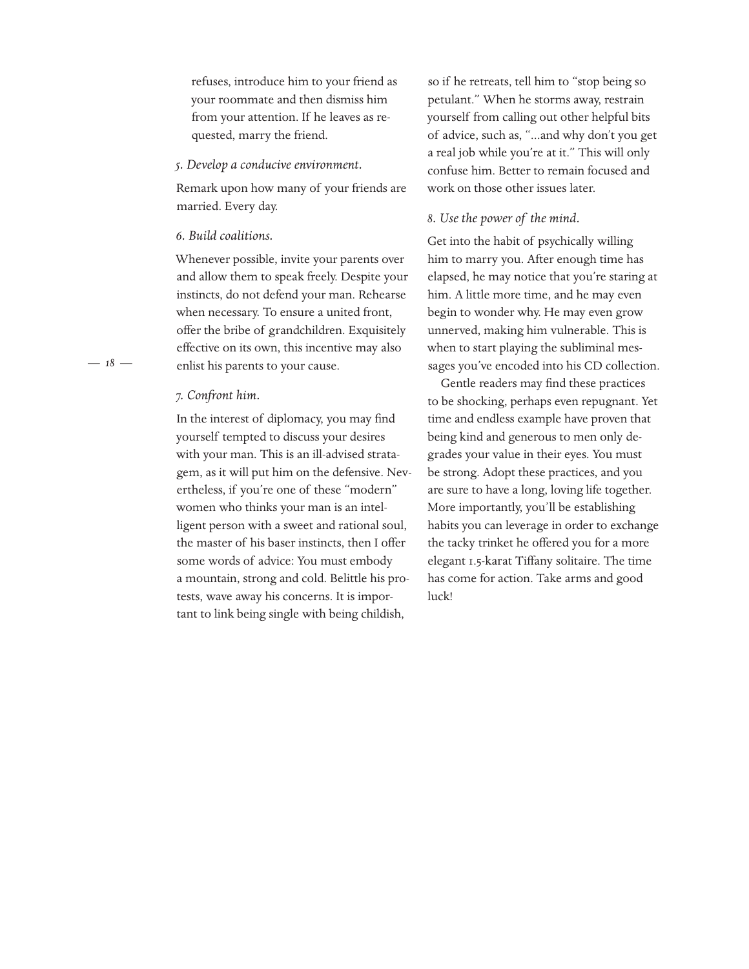refuses, introduce him to your friend as your roommate and then dismiss him from your attention. If he leaves as requested, marry the friend.

*5. Develop a conducive environment.*

Remark upon how many of your friends are married. Every day.

#### *6. Build coalitions.*

Whenever possible, invite your parents over and allow them to speak freely. Despite your instincts, do not defend your man. Rehearse when necessary. To ensure a united front, offer the bribe of grandchildren. Exquisitely effective on its own, this incentive may also enlist his parents to your cause.

#### *7. Confront him.*

In the interest of diplomacy, you may find yourself tempted to discuss your desires with your man. This is an ill-advised stratagem, as it will put him on the defensive. Nevertheless, if you're one of these "modern" women who thinks your man is an intelligent person with a sweet and rational soul, the master of his baser instincts, then I offer some words of advice: You must embody a mountain, strong and cold. Belittle his protests, wave away his concerns. It is important to link being single with being childish,

so if he retreats, tell him to "stop being so petulant." When he storms away, restrain yourself from calling out other helpful bits of advice, such as, "...and why don't you get a real job while you're at it." This will only confuse him. Better to remain focused and work on those other issues later.

#### *8. Use the power of the mind.*

Get into the habit of psychically willing him to marry you. After enough time has elapsed, he may notice that you're staring at him. A little more time, and he may even begin to wonder why. He may even grow unnerved, making him vulnerable. This is when to start playing the subliminal messages you've encoded into his CD collection.

Gentle readers may find these practices to be shocking, perhaps even repugnant. Yet time and endless example have proven that being kind and generous to men only degrades your value in their eyes. You must be strong. Adopt these practices, and you are sure to have a long, loving life together. More importantly, you'll be establishing habits you can leverage in order to exchange the tacky trinket he offered you for a more elegant 1.5-karat Tiffany solitaire. The time has come for action. Take arms and good luck!

*— 18 —*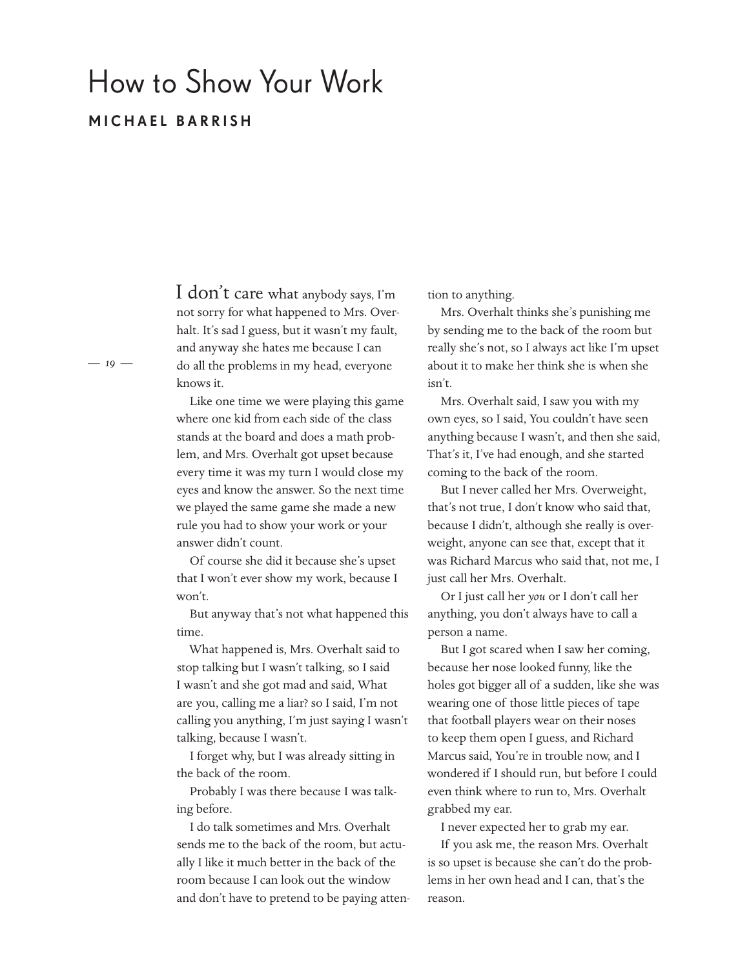## How to Show Your Work

MICHAEL BARRISH

I don't care what anybody says, I'm not sorry for what happened to Mrs. Overhalt. It's sad I guess, but it wasn't my fault, and anyway she hates me because I can do all the problems in my head, everyone knows it.

Like one time we were playing this game where one kid from each side of the class stands at the board and does a math problem, and Mrs. Overhalt got upset because every time it was my turn I would close my eyes and know the answer. So the next time we played the same game she made a new rule you had to show your work or your answer didn't count.

Of course she did it because she's upset that I won't ever show my work, because I won't.

But anyway that's not what happened this time.

What happened is, Mrs. Overhalt said to stop talking but I wasn't talking, so I said I wasn't and she got mad and said, What are you, calling me a liar? so I said, I'm not calling you anything, I'm just saying I wasn't talking, because I wasn't.

I forget why, but I was already sitting in the back of the room.

Probably I was there because I was talking before.

I do talk sometimes and Mrs. Overhalt sends me to the back of the room, but actually I like it much better in the back of the room because I can look out the window and don't have to pretend to be paying attention to anything.

Mrs. Overhalt thinks she's punishing me by sending me to the back of the room but really she's not, so I always act like I'm upset about it to make her think she is when she isn't.

Mrs. Overhalt said, I saw you with my own eyes, so I said, You couldn't have seen anything because I wasn't, and then she said, That's it, I've had enough, and she started coming to the back of the room.

But I never called her Mrs. Overweight, that's not true, I don't know who said that, because I didn't, although she really is overweight, anyone can see that, except that it was Richard Marcus who said that, not me, I just call her Mrs. Overhalt.

Or I just call her *you* or I don't call her anything, you don't always have to call a person a name.

But I got scared when I saw her coming, because her nose looked funny, like the holes got bigger all of a sudden, like she was wearing one of those little pieces of tape that football players wear on their noses to keep them open I guess, and Richard Marcus said, You're in trouble now, and I wondered if I should run, but before I could even think where to run to, Mrs. Overhalt grabbed my ear.

I never expected her to grab my ear.

If you ask me, the reason Mrs. Overhalt is so upset is because she can't do the problems in her own head and I can, that's the reason.

*— 19 —*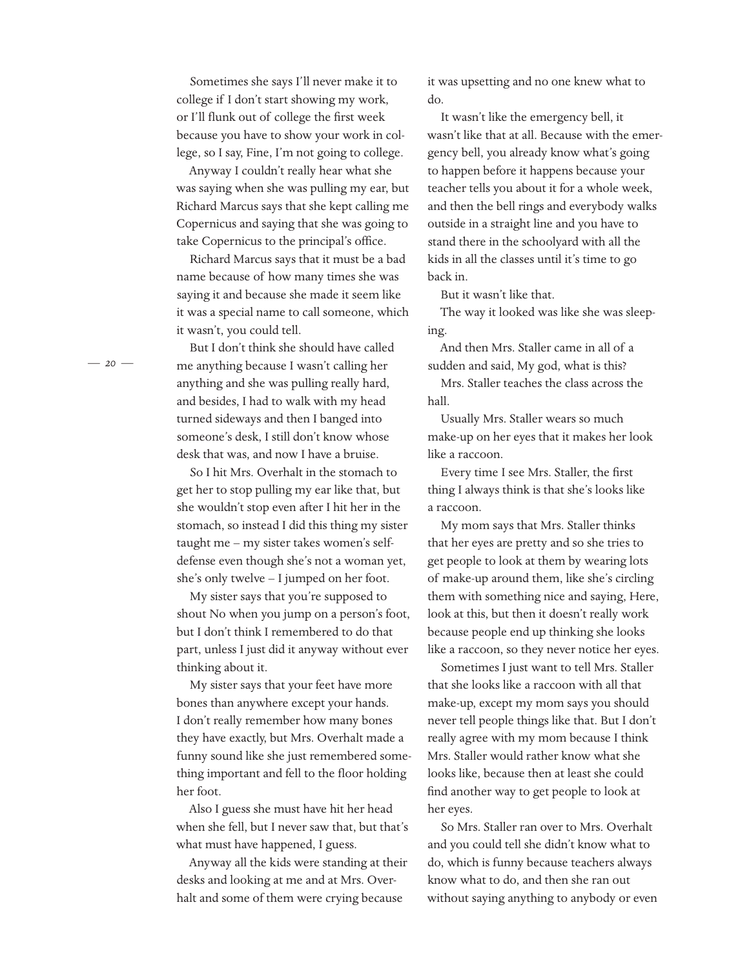Sometimes she says I'll never make it to college if I don't start showing my work, or I'll flunk out of college the first week because you have to show your work in college, so I say, Fine, I'm not going to college.

Anyway I couldn't really hear what she was saying when she was pulling my ear, but Richard Marcus says that she kept calling me Copernicus and saying that she was going to take Copernicus to the principal's office.

Richard Marcus says that it must be a bad name because of how many times she was saying it and because she made it seem like it was a special name to call someone, which it wasn't, you could tell.

But I don't think she should have called me anything because I wasn't calling her anything and she was pulling really hard, and besides, I had to walk with my head turned sideways and then I banged into someone's desk, I still don't know whose desk that was, and now I have a bruise.

So I hit Mrs. Overhalt in the stomach to get her to stop pulling my ear like that, but she wouldn't stop even after I hit her in the stomach, so instead I did this thing my sister taught me – my sister takes women's selfdefense even though she's not a woman yet, she's only twelve – I jumped on her foot.

My sister says that you're supposed to shout No when you jump on a person's foot, but I don't think I remembered to do that part, unless I just did it anyway without ever thinking about it.

My sister says that your feet have more bones than anywhere except your hands. I don't really remember how many bones they have exactly, but Mrs. Overhalt made a funny sound like she just remembered something important and fell to the floor holding her foot.

Also I guess she must have hit her head when she fell, but I never saw that, but that's what must have happened, I guess.

Anyway all the kids were standing at their desks and looking at me and at Mrs. Overhalt and some of them were crying because

it was upsetting and no one knew what to do.

It wasn't like the emergency bell, it wasn't like that at all. Because with the emergency bell, you already know what's going to happen before it happens because your teacher tells you about it for a whole week, and then the bell rings and everybody walks outside in a straight line and you have to stand there in the schoolyard with all the kids in all the classes until it's time to go back in.

But it wasn't like that.

The way it looked was like she was sleeping.

And then Mrs. Staller came in all of a sudden and said, My god, what is this?

Mrs. Staller teaches the class across the hall.

Usually Mrs. Staller wears so much make-up on her eyes that it makes her look like a raccoon.

Every time I see Mrs. Staller, the first thing I always think is that she's looks like a raccoon.

My mom says that Mrs. Staller thinks that her eyes are pretty and so she tries to get people to look at them by wearing lots of make-up around them, like she's circling them with something nice and saying, Here, look at this, but then it doesn't really work because people end up thinking she looks like a raccoon, so they never notice her eyes.

Sometimes I just want to tell Mrs. Staller that she looks like a raccoon with all that make-up, except my mom says you should never tell people things like that. But I don't really agree with my mom because I think Mrs. Staller would rather know what she looks like, because then at least she could find another way to get people to look at her eyes.

So Mrs. Staller ran over to Mrs. Overhalt and you could tell she didn't know what to do, which is funny because teachers always know what to do, and then she ran out without saying anything to anybody or even

*— 20 —*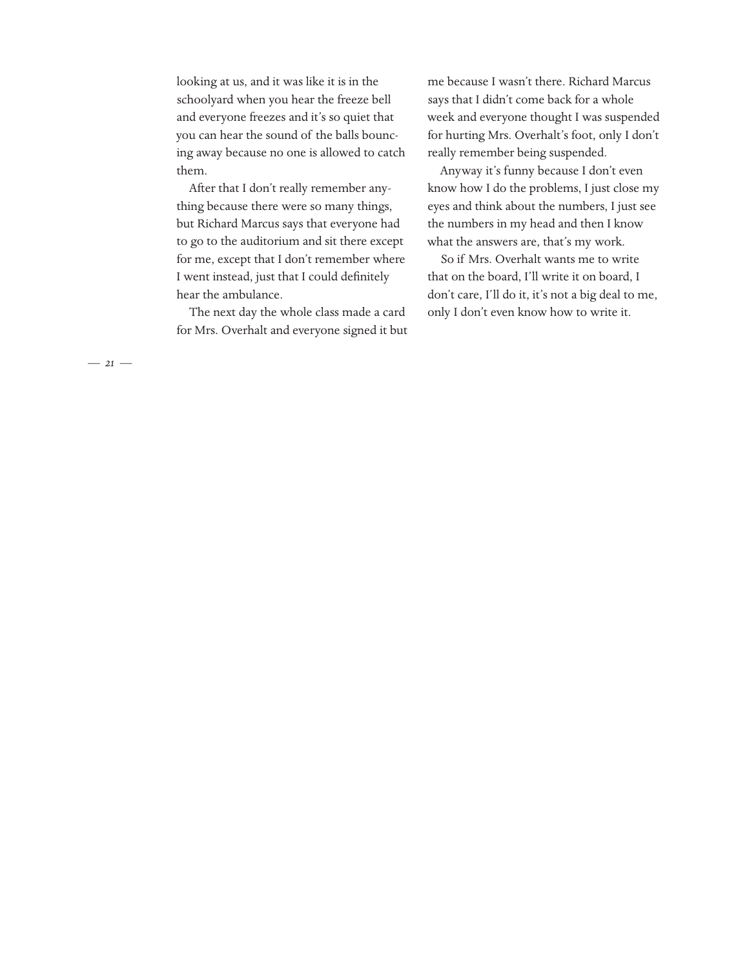looking at us, and it was like it is in the schoolyard when you hear the freeze bell and everyone freezes and it's so quiet that you can hear the sound of the balls bouncing away because no one is allowed to catch them.

After that I don't really remember anything because there were so many things, but Richard Marcus says that everyone had to go to the auditorium and sit there except for me, except that I don't remember where I went instead, just that I could definitely hear the ambulance.

The next day the whole class made a card for Mrs. Overhalt and everyone signed it but me because I wasn't there. Richard Marcus says that I didn't come back for a whole week and everyone thought I was suspended for hurting Mrs. Overhalt's foot, only I don't really remember being suspended.

Anyway it's funny because I don't even know how I do the problems, I just close my eyes and think about the numbers, I just see the numbers in my head and then I know what the answers are, that's my work.

So if Mrs. Overhalt wants me to write that on the board, I'll write it on board, I don't care, I'll do it, it's not a big deal to me, only I don't even know how to write it.

*— 21 —*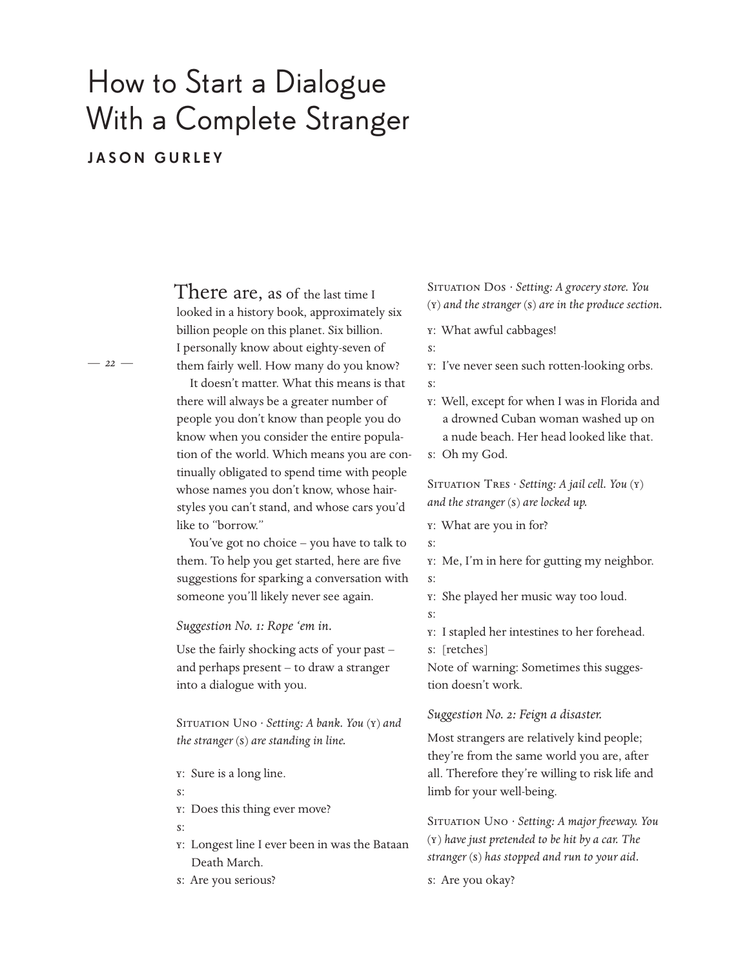### How to Start a Dialogue With a Complete Stranger JASON GURLEY

There are, as of the last time I looked in a history book, approximately six billion people on this planet. Six billion. I personally know about eighty-seven of them fairly well. How many do you know?

It doesn't matter. What this means is that there will always be a greater number of people you don't know than people you do know when you consider the entire population of the world. Which means you are continually obligated to spend time with people whose names you don't know, whose hairstyles you can't stand, and whose cars you'd like to "borrow."

You've got no choice – you have to talk to them. To help you get started, here are five suggestions for sparking a conversation with someone you'll likely never see again.

*Suggestion No. 1: Rope 'em in.* 

Use the fairly shocking acts of your past – and perhaps present – to draw a stranger into a dialogue with you.

Situation Uno *· Setting: A bank. You* (y) *and the stranger* (s) *are standing in line.*

- y: Sure is a long line.
- s:
- y: Does this thing ever move?
- s:
- y: Longest line I ever been in was the Bataan Death March.
- s: Are you serious?

SITUATION DOS · Setting: A grocery store. You (y) *and the stranger* (s) *are in the produce section.*

y: What awful cabbages!

s:

y: I've never seen such rotten-looking orbs. s:

- y: Well, except for when I was in Florida and a drowned Cuban woman washed up on a nude beach. Her head looked like that.
- s: Oh my God.

SITUATION TRES · Setting: A jail cell. You (Y) *and the stranger* (s) *are locked up.*

y: What are you in for?

y: Me, I'm in here for gutting my neighbor. s:

y: She played her music way too loud.

s:

s:

y: I stapled her intestines to her forehead. s: [retches]

Note of warning: Sometimes this suggestion doesn't work.

#### *Suggestion No. 2: Feign a disaster.*

Most strangers are relatively kind people; they're from the same world you are, after all. Therefore they're willing to risk life and limb for your well-being.

SITUATION UNO · Setting: A major freeway. You (y) *have just pretended to be hit by a car. The stranger* (s) *has stopped and run to your aid.*

s: Are you okay?

*— 22 —*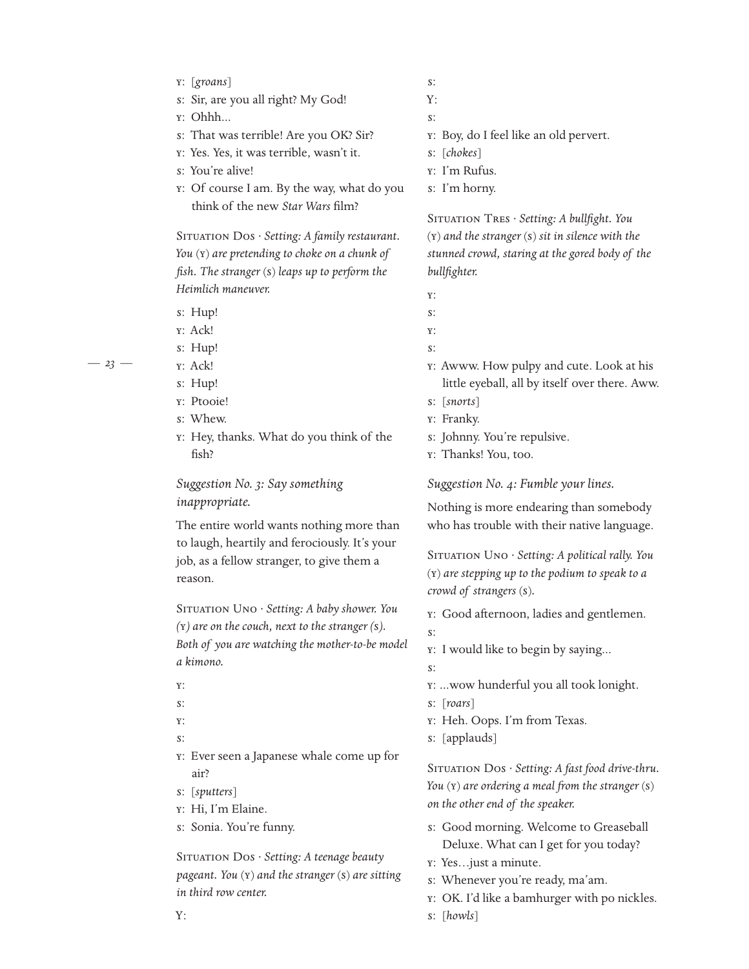- y: [*groans*]
- s: Sir, are you all right? My God!
- y: Ohhh...
- s: That was terrible! Are you OK? Sir?
- y: Yes. Yes, it was terrible, wasn't it.
- s: You're alive!
- y: Of course I am. By the way, what do you think of the new *Star Wars* film?

SITUATION DOS · Setting: A family restaurant. *You* (y) *are pretending to choke on a chunk of fi sh. The stranger* (s) *leaps up to perform the Heimlich maneuver.*

- s: Hup!
- y: Ack!
- s: Hup!

y: Ack!

- s: Hup!
- y: Ptooie!
- s: Whew.
- y: Hey, thanks. What do you think of the fish?

*Suggestion No. 3: Say something inappropriate.*

The entire world wants nothing more than to laugh, heartily and ferociously. It's your job, as a fellow stranger, to give them a reason.

Situation Uno *· Setting: A baby shower. You (*y*) are on the couch, next to the stranger (*s*). Both of you are watching the mother-to-be model a kimono.*

- y:
- s:
- y:
- s:

y: Ever seen a Japanese whale come up for air?

- s: [*sputters*]
- y: Hi, I'm Elaine.
- s: Sonia. You're funny.

SITUATION DOS · Setting: A teenage beauty *pageant. You* (y) *and the stranger* (s) *are sitting in third row center.*

- s: Y:
- s:

y: Boy, do I feel like an old pervert.

s: [*chokes*]

y: I'm Rufus.

s: I'm horny.

SITUATION TRES · Setting: A bullfight. You (y) *and the stranger* (s) *sit in silence with the stunned crowd, staring at the gored body of the*   $bullet$ *r.* 

- y:
- s:

y:

s:

- y: Awww. How pulpy and cute. Look at his little eyeball, all by itself over there. Aww.
- s: [*snorts*]
- y: Franky.
- s: Johnny. You're repulsive.
- y: Thanks! You, too.

*Suggestion No. 4: Fumble your lines.*

Nothing is more endearing than somebody who has trouble with their native language.

SITUATION UNO · Setting: A political rally. You (y) *are stepping up to the podium to speak to a crowd of strangers* (s)*.*

- y: Good afternoon, ladies and gentlemen.
- s:
- y: I would like to begin by saying...
- s:

y: ...wow hunderful you all took lonight.

- s: [*roars*]
- y: Heh. Oops. I'm from Texas.
- s: [applauds]

SITUATION DOS · Setting: A fast food drive-thru. *You* (y) *are ordering a meal from the stranger* (s) *on the other end of the speaker.*

- s: Good morning. Welcome to Greaseball Deluxe. What can I get for you today?
- y: Yes…just a minute.
- s: Whenever you're ready, ma'am.
- y: OK. I'd like a bamhurger with po nickles.
- s: [*howls*]

*— 23 —*

Y: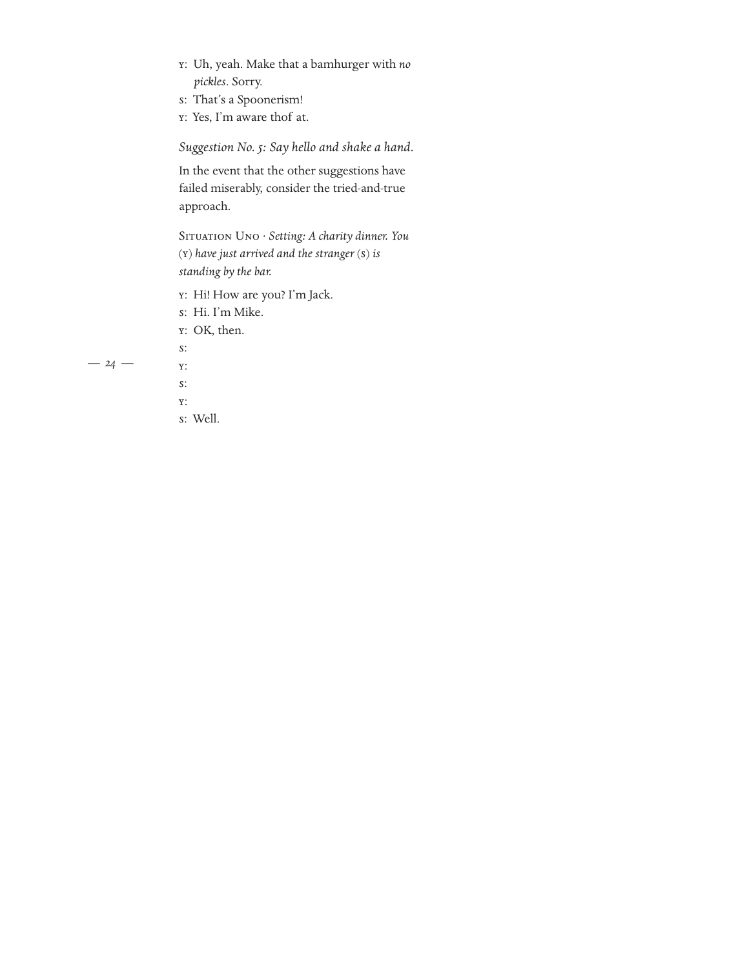- y: Uh, yeah. Make that a bamhurger with *no pickles*. Sorry.
- s: That's a Spoonerism!
- y: Yes, I'm aware thof at.

*Suggestion No. 5: Say hello and shake a hand.*

In the event that the other suggestions have failed miserably, consider the tried-and-true approach.

Situation Uno *· Setting: A charity dinner. You*  (y) *have just arrived and the stranger* (s) *is standing by the bar.*

- y: Hi! How are you? I'm Jack.
- s: Hi. I'm Mike.
- y: OK, then.
- s: y:
- *24 —*
- s:
	- y:
	- s: Well.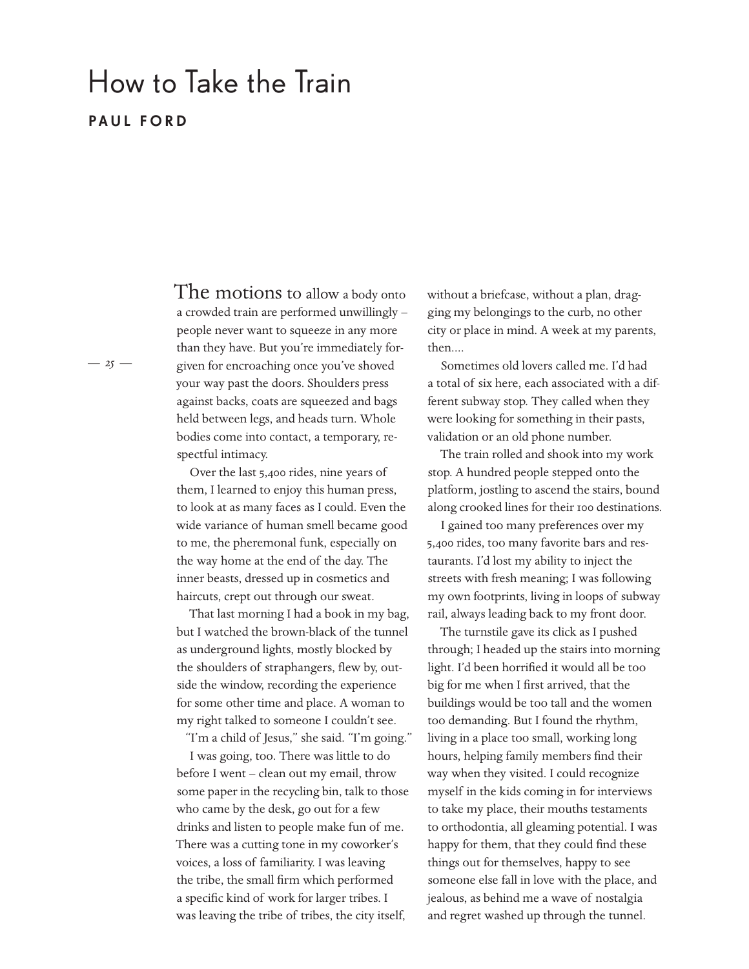### How to Take the Train PAUL FORD

The motions to allow a body onto a crowded train are performed unwillingly – people never want to squeeze in any more than they have. But you're immediately forgiven for encroaching once you've shoved your way past the doors. Shoulders press against backs, coats are squeezed and bags held between legs, and heads turn. Whole bodies come into contact, a temporary, respectful intimacy.

Over the last 5,400 rides, nine years of them, I learned to enjoy this human press, to look at as many faces as I could. Even the wide variance of human smell became good to me, the pheremonal funk, especially on the way home at the end of the day. The inner beasts, dressed up in cosmetics and haircuts, crept out through our sweat.

That last morning I had a book in my bag, but I watched the brown-black of the tunnel as underground lights, mostly blocked by the shoulders of straphangers, flew by, outside the window, recording the experience for some other time and place. A woman to my right talked to someone I couldn't see.

"I'm a child of Jesus," she said. "I'm going." I was going, too. There was little to do before I went – clean out my email, throw some paper in the recycling bin, talk to those who came by the desk, go out for a few drinks and listen to people make fun of me. There was a cutting tone in my coworker's voices, a loss of familiarity. I was leaving the tribe, the small firm which performed a specific kind of work for larger tribes. I was leaving the tribe of tribes, the city itself,

without a briefcase, without a plan, dragging my belongings to the curb, no other city or place in mind. A week at my parents, then....

Sometimes old lovers called me. I'd had a total of six here, each associated with a different subway stop. They called when they were looking for something in their pasts, validation or an old phone number.

The train rolled and shook into my work stop. A hundred people stepped onto the platform, jostling to ascend the stairs, bound along crooked lines for their 100 destinations.

I gained too many preferences over my 5,400 rides, too many favorite bars and restaurants. I'd lost my ability to inject the streets with fresh meaning; I was following my own footprints, living in loops of subway rail, always leading back to my front door.

The turnstile gave its click as I pushed through; I headed up the stairs into morning light. I'd been horrified it would all be too big for me when I first arrived, that the buildings would be too tall and the women too demanding. But I found the rhythm, living in a place too small, working long hours, helping family members find their way when they visited. I could recognize myself in the kids coming in for interviews to take my place, their mouths testaments to orthodontia, all gleaming potential. I was happy for them, that they could find these things out for themselves, happy to see someone else fall in love with the place, and jealous, as behind me a wave of nostalgia and regret washed up through the tunnel.

*— 25 —*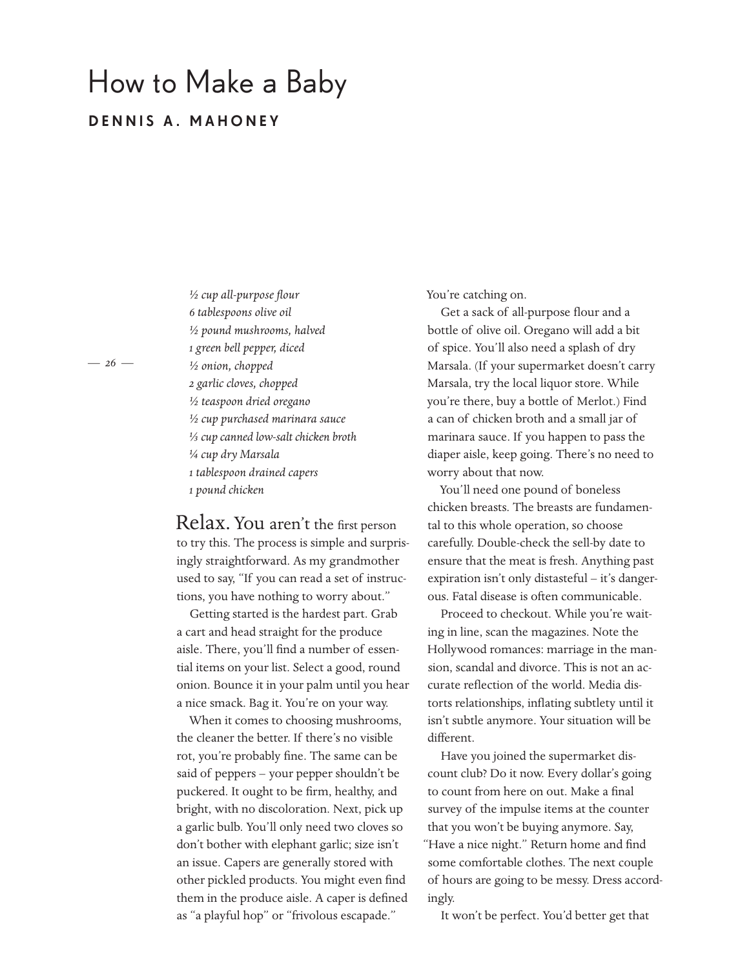### How to Make a Baby

#### DENNIS A. MAHONEY

*½ cup all-purpose fl our 6 tablespoons olive oil ½ pound mushrooms, halved 1 green bell pepper, diced ½ onion, chopped 2 garlic cloves, chopped ½ teaspoon dried oregano ½ cup purchased marinara sauce ⅓ cup canned low-salt chicken broth ¼ cup dry Marsala 1 tablespoon drained capers 1 pound chicken*

Relax. You aren't the first person to try this. The process is simple and surprisingly straightforward. As my grandmother used to say, "If you can read a set of instructions, you have nothing to worry about."

Getting started is the hardest part. Grab a cart and head straight for the produce aisle. There, you'll find a number of essential items on your list. Select a good, round onion. Bounce it in your palm until you hear a nice smack. Bag it. You're on your way.

When it comes to choosing mushrooms, the cleaner the better. If there's no visible rot, you're probably fine. The same can be said of peppers – your pepper shouldn't be puckered. It ought to be firm, healthy, and bright, with no discoloration. Next, pick up a garlic bulb. You'll only need two cloves so don't bother with elephant garlic; size isn't an issue. Capers are generally stored with other pickled products. You might even find them in the produce aisle. A caper is defined as "a playful hop" or "frivolous escapade."

You're catching on.

Get a sack of all-purpose flour and a bottle of olive oil. Oregano will add a bit of spice. You'll also need a splash of dry Marsala. (If your supermarket doesn't carry Marsala, try the local liquor store. While you're there, buy a bottle of Merlot.) Find a can of chicken broth and a small jar of marinara sauce. If you happen to pass the diaper aisle, keep going. There's no need to worry about that now.

You'll need one pound of boneless chicken breasts. The breasts are fundamental to this whole operation, so choose carefully. Double-check the sell-by date to ensure that the meat is fresh. Anything past expiration isn't only distasteful – it's dangerous. Fatal disease is often communicable.

Proceed to checkout. While you're waiting in line, scan the magazines. Note the Hollywood romances: marriage in the mansion, scandal and divorce. This is not an accurate reflection of the world. Media distorts relationships, inflating subtlety until it isn't subtle anymore. Your situation will be different.

Have you joined the supermarket discount club? Do it now. Every dollar's going to count from here on out. Make a final survey of the impulse items at the counter that you won't be buying anymore. Say, "Have a nice night." Return home and find some comfortable clothes. The next couple of hours are going to be messy. Dress accordingly.

It won't be perfect. You'd better get that

*— 26 —*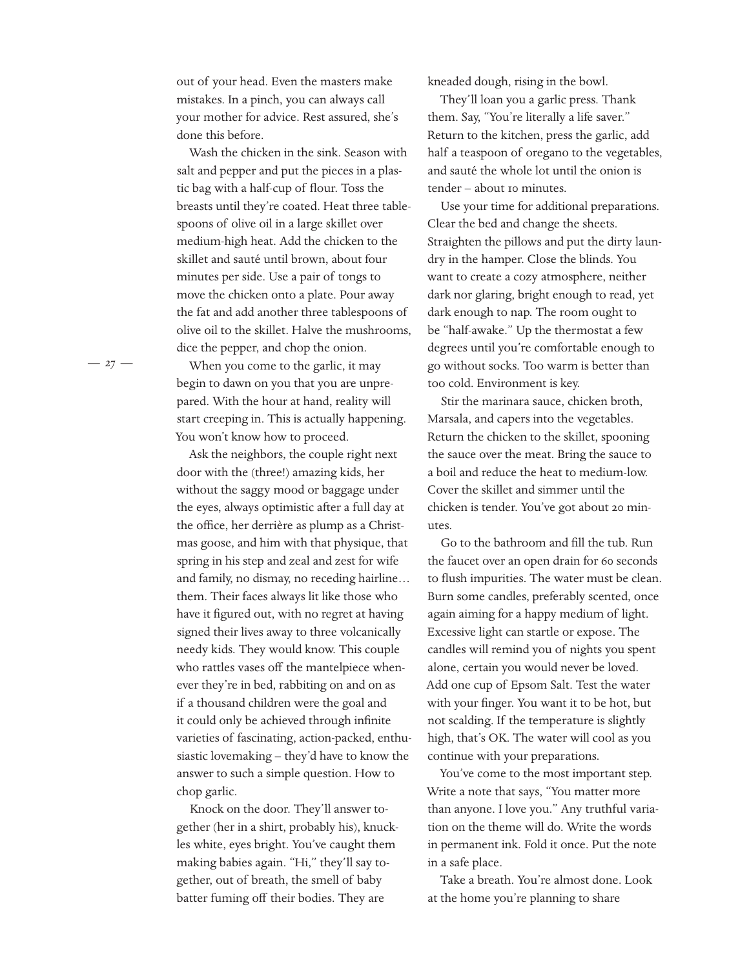out of your head. Even the masters make mistakes. In a pinch, you can always call your mother for advice. Rest assured, she's done this before.

Wash the chicken in the sink. Season with salt and pepper and put the pieces in a plastic bag with a half-cup of flour. Toss the breasts until they're coated. Heat three tablespoons of olive oil in a large skillet over medium-high heat. Add the chicken to the skillet and sauté until brown, about four minutes per side. Use a pair of tongs to move the chicken onto a plate. Pour away the fat and add another three tablespoons of olive oil to the skillet. Halve the mushrooms, dice the pepper, and chop the onion.

When you come to the garlic, it may begin to dawn on you that you are unprepared. With the hour at hand, reality will start creeping in. This is actually happening. You won't know how to proceed.

Ask the neighbors, the couple right next door with the (three!) amazing kids, her without the saggy mood or baggage under the eyes, always optimistic after a full day at the office, her derrière as plump as a Christmas goose, and him with that physique, that spring in his step and zeal and zest for wife and family, no dismay, no receding hairline… them. Their faces always lit like those who have it figured out, with no regret at having signed their lives away to three volcanically needy kids. They would know. This couple who rattles vases off the mantelpiece whenever they're in bed, rabbiting on and on as if a thousand children were the goal and it could only be achieved through infinite varieties of fascinating, action-packed, enthusiastic lovemaking – they'd have to know the answer to such a simple question. How to chop garlic.

Knock on the door. They'll answer together (her in a shirt, probably his), knuckles white, eyes bright. You've caught them making babies again. "Hi," they'll say together, out of breath, the smell of baby batter fuming off their bodies. They are

kneaded dough, rising in the bowl.

They'll loan you a garlic press. Thank them. Say, "You're literally a life saver." Return to the kitchen, press the garlic, add half a teaspoon of oregano to the vegetables, and sauté the whole lot until the onion is tender – about 10 minutes.

Use your time for additional preparations. Clear the bed and change the sheets. Straighten the pillows and put the dirty laundry in the hamper. Close the blinds. You want to create a cozy atmosphere, neither dark nor glaring, bright enough to read, yet dark enough to nap. The room ought to be "half-awake." Up the thermostat a few degrees until you're comfortable enough to go without socks. Too warm is better than too cold. Environment is key.

Stir the marinara sauce, chicken broth, Marsala, and capers into the vegetables. Return the chicken to the skillet, spooning the sauce over the meat. Bring the sauce to a boil and reduce the heat to medium-low. Cover the skillet and simmer until the chicken is tender. You've got about 20 minutes.

Go to the bathroom and fill the tub. Run the faucet over an open drain for 60 seconds to flush impurities. The water must be clean. Burn some candles, preferably scented, once again aiming for a happy medium of light. Excessive light can startle or expose. The candles will remind you of nights you spent alone, certain you would never be loved. Add one cup of Epsom Salt. Test the water with your finger. You want it to be hot, but not scalding. If the temperature is slightly high, that's OK. The water will cool as you continue with your preparations.

You've come to the most important step. Write a note that says, "You matter more than anyone. I love you." Any truthful variation on the theme will do. Write the words in permanent ink. Fold it once. Put the note in a safe place.

Take a breath. You're almost done. Look at the home you're planning to share

*— 27 —*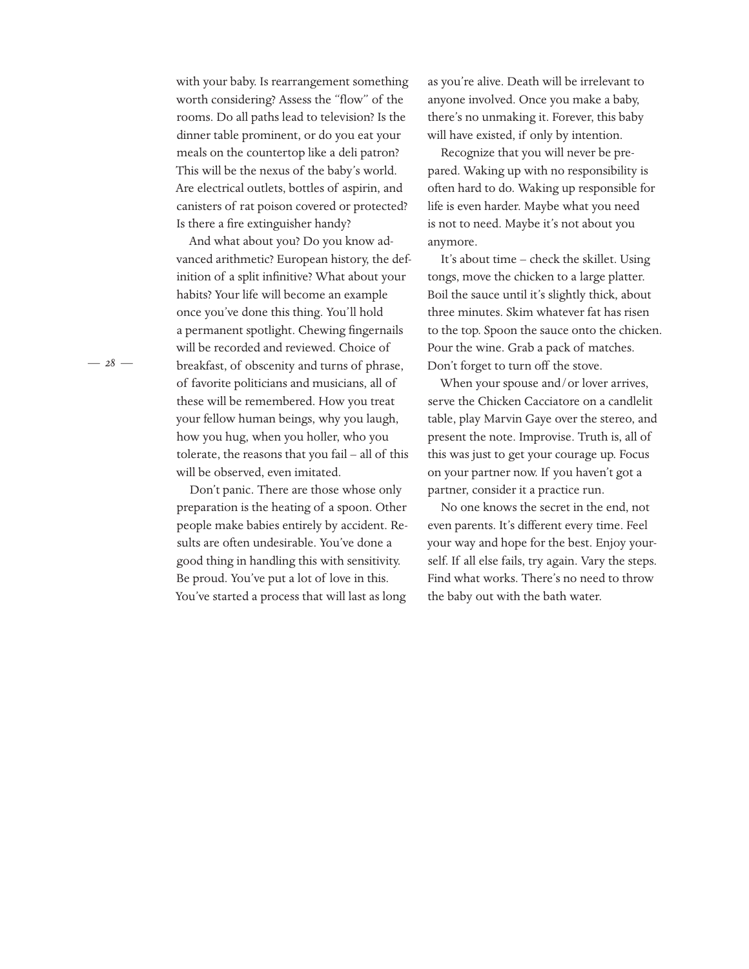with your baby. Is rearrangement something worth considering? Assess the "flow" of the rooms. Do all paths lead to television? Is the dinner table prominent, or do you eat your meals on the countertop like a deli patron? This will be the nexus of the baby's world. Are electrical outlets, bottles of aspirin, and canisters of rat poison covered or protected? Is there a fire extinguisher handy?

And what about you? Do you know advanced arithmetic? European history, the definition of a split infinitive? What about your habits? Your life will become an example once you've done this thing. You'll hold a permanent spotlight. Chewing fingernails will be recorded and reviewed. Choice of breakfast, of obscenity and turns of phrase, of favorite politicians and musicians, all of these will be remembered. How you treat your fellow human beings, why you laugh, how you hug, when you holler, who you tolerate, the reasons that you fail – all of this will be observed, even imitated.

Don't panic. There are those whose only preparation is the heating of a spoon. Other people make babies entirely by accident. Results are often undesirable. You've done a good thing in handling this with sensitivity. Be proud. You've put a lot of love in this. You've started a process that will last as long

as you're alive. Death will be irrelevant to anyone involved. Once you make a baby, there's no unmaking it. Forever, this baby will have existed, if only by intention.

Recognize that you will never be prepared. Waking up with no responsibility is often hard to do. Waking up responsible for life is even harder. Maybe what you need is not to need. Maybe it's not about you anymore.

It's about time – check the skillet. Using tongs, move the chicken to a large platter. Boil the sauce until it's slightly thick, about three minutes. Skim whatever fat has risen to the top. Spoon the sauce onto the chicken. Pour the wine. Grab a pack of matches. Don't forget to turn off the stove.

When your spouse and/or lover arrives, serve the Chicken Cacciatore on a candlelit table, play Marvin Gaye over the stereo, and present the note. Improvise. Truth is, all of this was just to get your courage up. Focus on your partner now. If you haven't got a partner, consider it a practice run.

No one knows the secret in the end, not even parents. It's different every time. Feel your way and hope for the best. Enjoy yourself. If all else fails, try again. Vary the steps. Find what works. There's no need to throw the baby out with the bath water.

*— 28 —*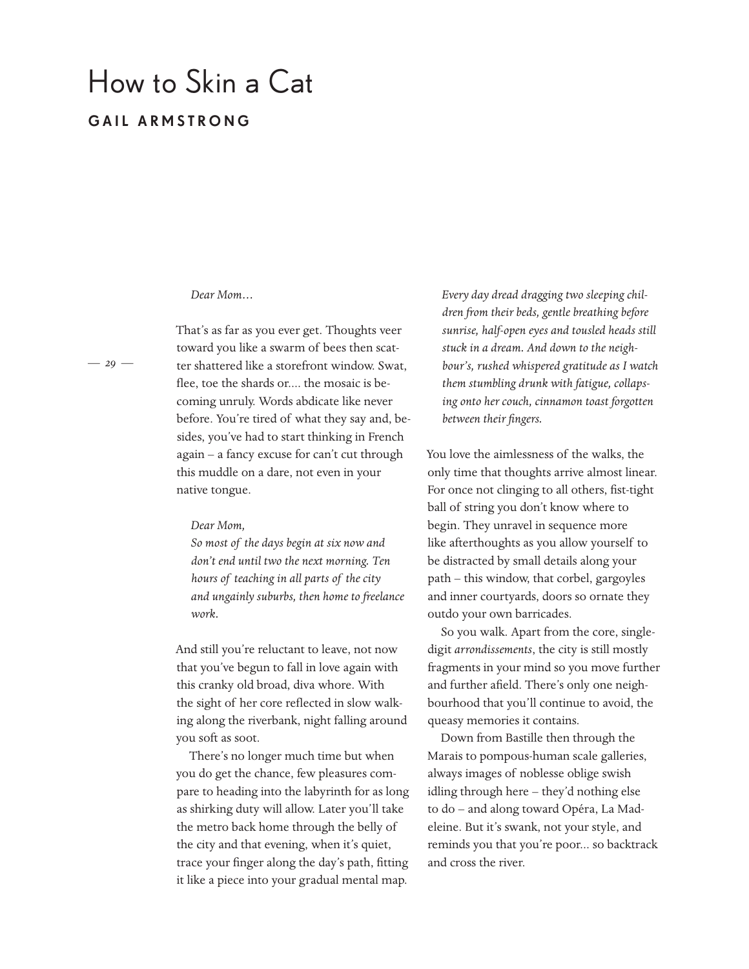### How to Skin a Cat G AIL ARMSTRONG

#### *Dear Mom…*

That's as far as you ever get. Thoughts veer toward you like a swarm of bees then scatter shattered like a storefront window. Swat, flee, toe the shards or.... the mosaic is becoming unruly. Words abdicate like never before. You're tired of what they say and, besides, you've had to start thinking in French again – a fancy excuse for can't cut through this muddle on a dare, not even in your native tongue.

#### *Dear Mom,*

*So most of the days begin at six now and don't end until two the next morning. Ten hours of teaching in all parts of the city and ungainly suburbs, then home to freelance work.* 

And still you're reluctant to leave, not now that you've begun to fall in love again with this cranky old broad, diva whore. With the sight of her core reflected in slow walking along the riverbank, night falling around you soft as soot.

There's no longer much time but when you do get the chance, few pleasures compare to heading into the labyrinth for as long as shirking duty will allow. Later you'll take the metro back home through the belly of the city and that evening, when it's quiet, trace your finger along the day's path, fitting it like a piece into your gradual mental map.

*Every day dread dragging two sleeping children from their beds, gentle breathing before sunrise, half-open eyes and tousled heads still stuck in a dream. And down to the neighbour's, rushed whispered gratitude as I watch them stumbling drunk with fatigue, collapsing onto her couch, cinnamon toast forgotten between their fi ngers.*

You love the aimlessness of the walks, the only time that thoughts arrive almost linear. For once not clinging to all others, fist-tight ball of string you don't know where to begin. They unravel in sequence more like afterthoughts as you allow yourself to be distracted by small details along your path – this window, that corbel, gargoyles and inner courtyards, doors so ornate they outdo your own barricades.

So you walk. Apart from the core, singledigit *arrondissements*, the city is still mostly fragments in your mind so you move further and further afield. There's only one neighbourhood that you'll continue to avoid, the queasy memories it contains.

Down from Bastille then through the Marais to pompous-human scale galleries, always images of noblesse oblige swish idling through here – they'd nothing else to do – and along toward Opéra, La Madeleine. But it's swank, not your style, and reminds you that you're poor... so backtrack and cross the river.

*— 29 —*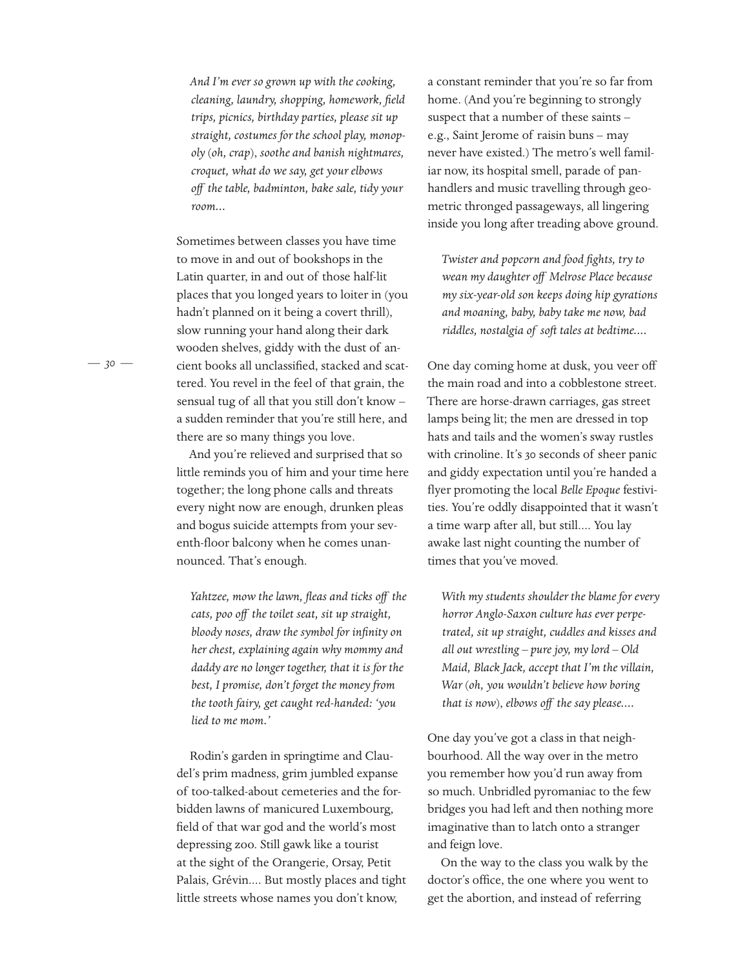*And I'm ever so grown up with the cooking, cleaning, laundry, shopping, homework, fi eld trips, picnics, birthday parties, please sit up straight, costumes for the school play, monopoly* (*oh, crap*), *soothe and banish nightmares, croquet, what do we say, get your elbows off the table, badminton, bake sale, tidy your room...*

Sometimes between classes you have time to move in and out of bookshops in the Latin quarter, in and out of those half-lit places that you longed years to loiter in (you hadn't planned on it being a covert thrill), slow running your hand along their dark wooden shelves, giddy with the dust of ancient books all unclassified, stacked and scattered. You revel in the feel of that grain, the sensual tug of all that you still don't know – a sudden reminder that you're still here, and there are so many things you love.

And you're relieved and surprised that so little reminds you of him and your time here together; the long phone calls and threats every night now are enough, drunken pleas and bogus suicide attempts from your seventh-floor balcony when he comes unannounced. That's enough.

*Yahtzee, mow the lawn, fleas and ticks off the cats, poo off the toilet seat, sit up straight, bloody noses, draw the symbol for infinity on her chest, explaining again why mommy and daddy are no longer together, that it is for the best, I promise, don't forget the money from the tooth fairy, get caught red-handed: 'you lied to me mom.'*

Rodin's garden in springtime and Claudel's prim madness, grim jumbled expanse of too-talked-about cemeteries and the forbidden lawns of manicured Luxembourg, field of that war god and the world's most depressing zoo. Still gawk like a tourist at the sight of the Orangerie, Orsay, Petit Palais, Grévin.... But mostly places and tight little streets whose names you don't know,

a constant reminder that you're so far from home. (And you're beginning to strongly suspect that a number of these saints – e.g., Saint Jerome of raisin buns – may never have existed.) The metro's well familiar now, its hospital smell, parade of panhandlers and music travelling through geometric thronged passageways, all lingering inside you long after treading above ground.

*Twister and popcorn and food fights, try to wean my daughter off Melrose Place because my six-year-old son keeps doing hip gyrations and moaning, baby, baby take me now, bad riddles, nostalgia of soft tales at bedtime....*

One day coming home at dusk, you veer off the main road and into a cobblestone street. There are horse-drawn carriages, gas street lamps being lit; the men are dressed in top hats and tails and the women's sway rustles with crinoline. It's 30 seconds of sheer panic and giddy expectation until you're handed a flyer promoting the local *Belle Epoque* festivities. You're oddly disappointed that it wasn't a time warp after all, but still.... You lay awake last night counting the number of times that you've moved.

*With my students shoulder the blame for every horror Anglo-Saxon culture has ever perpetrated, sit up straight, cuddles and kisses and all out wrestling – pure joy, my lord – Old Maid, Black Jack, accept that I'm the villain, War* (*oh, you wouldn't believe how boring that is now*), *elbows off the say please....*

One day you've got a class in that neighbourhood. All the way over in the metro you remember how you'd run away from so much. Unbridled pyromaniac to the few bridges you had left and then nothing more imaginative than to latch onto a stranger and feign love.

On the way to the class you walk by the doctor's office, the one where you went to get the abortion, and instead of referring

*— 30 —*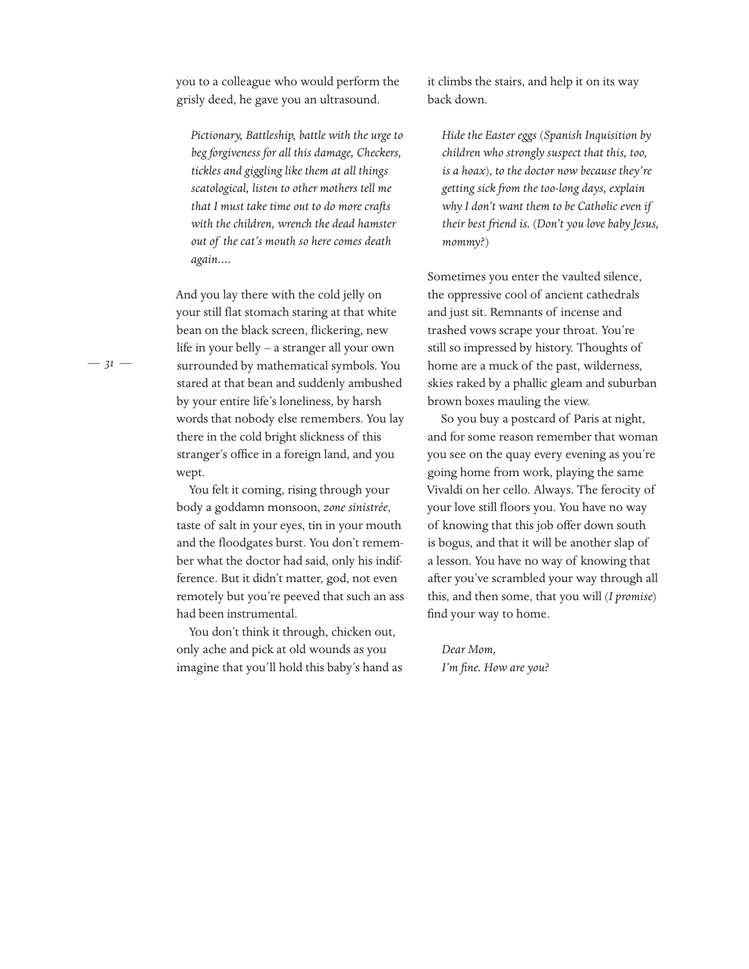you to a colleague who would perform the grisly deed, he gave you an ultrasound.

*Pictionary, Battleship, battle with the urge to beg forgiveness for all this damage, Checkers, tickles and giggling like them at all things scatological, listen to other mothers tell me that I must take time out to do more crafts with the children, wrench the dead hamster out of the cat's mouth so here comes death again....*

And you lay there with the cold jelly on your still flat stomach staring at that white bean on the black screen, flickering, new life in your belly – a stranger all your own surrounded by mathematical symbols. You stared at that bean and suddenly ambushed by your entire life's loneliness, by harsh words that nobody else remembers. You lay there in the cold bright slickness of this stranger's office in a foreign land, and you wept.

You felt it coming, rising through your body a goddamn monsoon, *zone sinistrée*, taste of salt in your eyes, tin in your mouth and the floodgates burst. You don't remember what the doctor had said, only his indifference. But it didn't matter, god, not even remotely but you're peeved that such an ass had been instrumental.

You don't think it through, chicken out, only ache and pick at old wounds as you imagine that you'll hold this baby's hand as it climbs the stairs, and help it on its way back down.

*Hide the Easter eggs* (*Spanish Inquisition by children who strongly suspect that this, too, is a hoax*), *to the doctor now because they're getting sick from the too-long days, explain why I don't want them to be Catholic even if their best friend is.* (*Don't you love baby Jesus, mommy?*)

Sometimes you enter the vaulted silence, the oppressive cool of ancient cathedrals and just sit. Remnants of incense and trashed vows scrape your throat. You're still so impressed by history. Thoughts of home are a muck of the past, wilderness, skies raked by a phallic gleam and suburban brown boxes mauling the view.

So you buy a postcard of Paris at night, and for some reason remember that woman you see on the quay every evening as you're going home from work, playing the same Vivaldi on her cello. Always. The ferocity of your love still floors you. You have no way of knowing that this job offer down south is bogus, and that it will be another slap of a lesson. You have no way of knowing that after you've scrambled your way through all this, and then some, that you will (*I promise*) find your way to home.

*Dear Mom, I'm fine. How are you?* 

*— 31 —*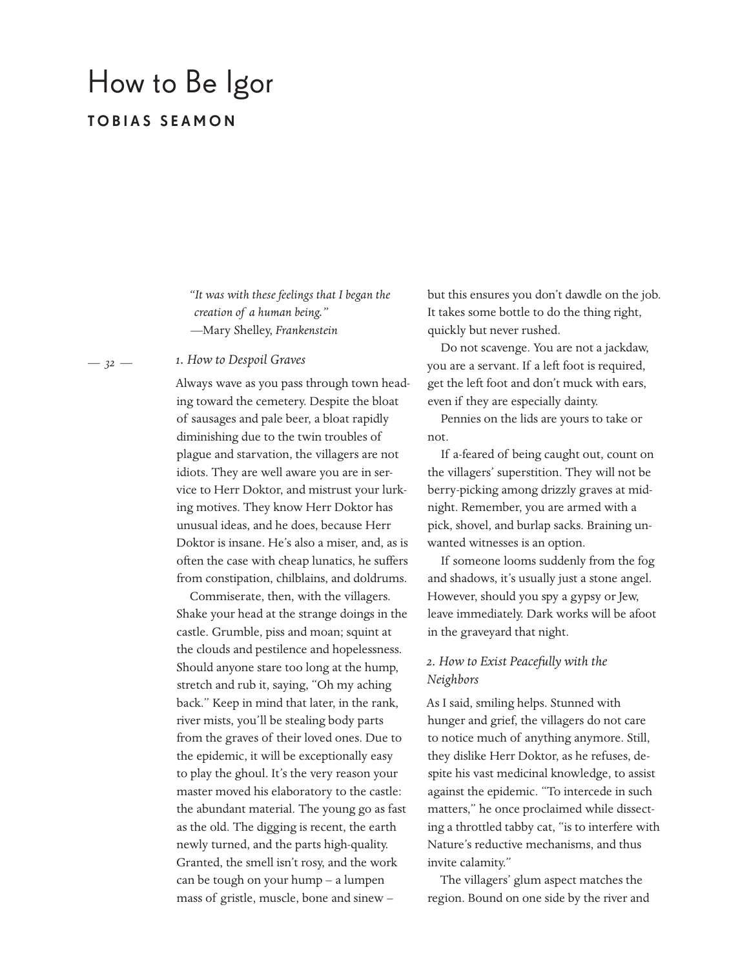### How to Be Igor T OBIAS SEAMON

*— 32 —*

*"It was with these feelings that I began the creation of a human being."* —Mary Shelley, *Frankenstein*

*1. How to Despoil Graves*

Always wave as you pass through town heading toward the cemetery. Despite the bloat of sausages and pale beer, a bloat rapidly diminishing due to the twin troubles of plague and starvation, the villagers are not idiots. They are well aware you are in service to Herr Doktor, and mistrust your lurking motives. They know Herr Doktor has unusual ideas, and he does, because Herr Doktor is insane. He's also a miser, and, as is often the case with cheap lunatics, he suffers from constipation, chilblains, and doldrums.

Commiserate, then, with the villagers. Shake your head at the strange doings in the castle. Grumble, piss and moan; squint at the clouds and pestilence and hopelessness. Should anyone stare too long at the hump, stretch and rub it, saying, "Oh my aching back." Keep in mind that later, in the rank, river mists, you'll be stealing body parts from the graves of their loved ones. Due to the epidemic, it will be exceptionally easy to play the ghoul. It's the very reason your master moved his elaboratory to the castle: the abundant material. The young go as fast as the old. The digging is recent, the earth newly turned, and the parts high-quality. Granted, the smell isn't rosy, and the work can be tough on your hump – a lumpen mass of gristle, muscle, bone and sinew –

but this ensures you don't dawdle on the job. It takes some bottle to do the thing right, quickly but never rushed.

Do not scavenge. You are not a jackdaw, you are a servant. If a left foot is required, get the left foot and don't muck with ears, even if they are especially dainty.

Pennies on the lids are yours to take or not.

If a-feared of being caught out, count on the villagers' superstition. They will not be berry-picking among drizzly graves at midnight. Remember, you are armed with a pick, shovel, and burlap sacks. Braining unwanted witnesses is an option.

If someone looms suddenly from the fog and shadows, it's usually just a stone angel. However, should you spy a gypsy or Jew, leave immediately. Dark works will be afoot in the graveyard that night.

#### *2. How to Exist Peacefully with the Neighbors*

As I said, smiling helps. Stunned with hunger and grief, the villagers do not care to notice much of anything anymore. Still, they dislike Herr Doktor, as he refuses, despite his vast medicinal knowledge, to assist against the epidemic. "To intercede in such matters," he once proclaimed while dissecting a throttled tabby cat, "is to interfere with Nature's reductive mechanisms, and thus invite calamity."

The villagers' glum aspect matches the region. Bound on one side by the river and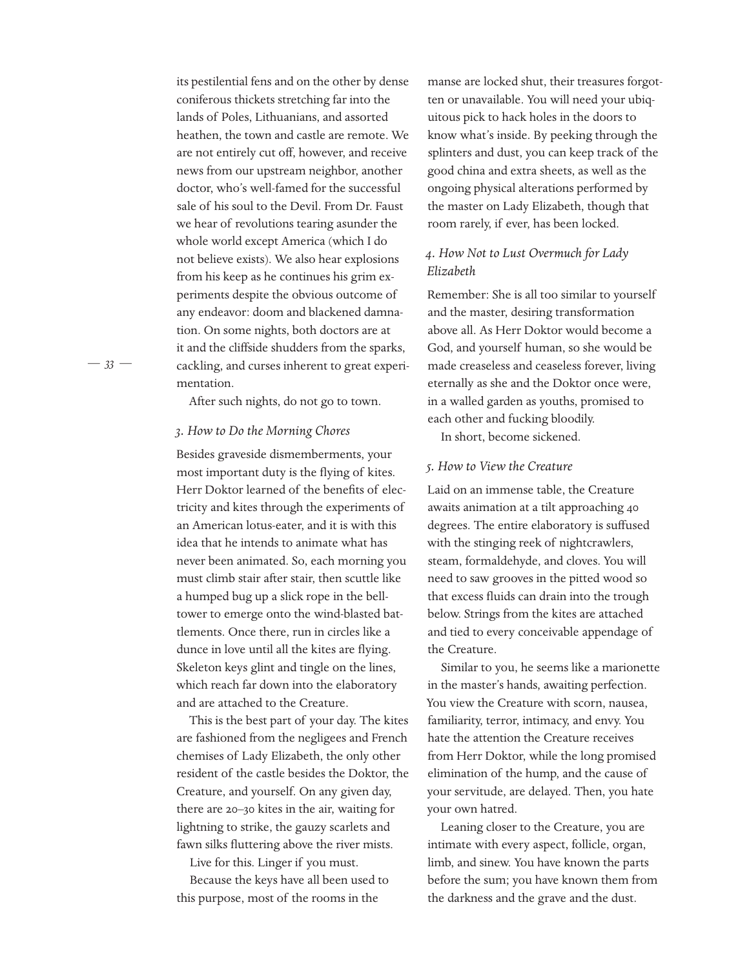its pestilential fens and on the other by dense coniferous thickets stretching far into the lands of Poles, Lithuanians, and assorted heathen, the town and castle are remote. We are not entirely cut off, however, and receive news from our upstream neighbor, another doctor, who's well-famed for the successful sale of his soul to the Devil. From Dr. Faust we hear of revolutions tearing asunder the whole world except America (which I do not believe exists). We also hear explosions from his keep as he continues his grim experiments despite the obvious outcome of any endeavor: doom and blackened damnation. On some nights, both doctors are at it and the cliffside shudders from the sparks, cackling, and curses inherent to great experimentation.

After such nights, do not go to town.

#### *3. How to Do the Morning Chores*

Besides graveside dismemberments, your most important duty is the flying of kites. Herr Doktor learned of the benefits of electricity and kites through the experiments of an American lotus-eater, and it is with this idea that he intends to animate what has never been animated. So, each morning you must climb stair after stair, then scuttle like a humped bug up a slick rope in the belltower to emerge onto the wind-blasted battlements. Once there, run in circles like a dunce in love until all the kites are flying. Skeleton keys glint and tingle on the lines, which reach far down into the elaboratory and are attached to the Creature.

This is the best part of your day. The kites are fashioned from the negligees and French chemises of Lady Elizabeth, the only other resident of the castle besides the Doktor, the Creature, and yourself. On any given day, there are 20–30 kites in the air, waiting for lightning to strike, the gauzy scarlets and fawn silks fluttering above the river mists. Live for this. Linger if you must.

Because the keys have all been used to this purpose, most of the rooms in the

manse are locked shut, their treasures forgotten or unavailable. You will need your ubiquitous pick to hack holes in the doors to know what's inside. By peeking through the splinters and dust, you can keep track of the good china and extra sheets, as well as the ongoing physical alterations performed by the master on Lady Elizabeth, though that room rarely, if ever, has been locked.

#### *4. How Not to Lust Overmuch for Lady Elizabeth*

Remember: She is all too similar to yourself and the master, desiring transformation above all. As Herr Doktor would become a God, and yourself human, so she would be made creaseless and ceaseless forever, living eternally as she and the Doktor once were, in a walled garden as youths, promised to each other and fucking bloodily.

In short, become sickened.

#### *5. How to View the Creature*

Laid on an immense table, the Creature awaits animation at a tilt approaching 40 degrees. The entire elaboratory is suffused with the stinging reek of nightcrawlers, steam, formaldehyde, and cloves. You will need to saw grooves in the pitted wood so that excess fluids can drain into the trough below. Strings from the kites are attached and tied to every conceivable appendage of the Creature.

Similar to you, he seems like a marionette in the master's hands, awaiting perfection. You view the Creature with scorn, nausea, familiarity, terror, intimacy, and envy. You hate the attention the Creature receives from Herr Doktor, while the long promised elimination of the hump, and the cause of your servitude, are delayed. Then, you hate your own hatred.

Leaning closer to the Creature, you are intimate with every aspect, follicle, organ, limb, and sinew. You have known the parts before the sum; you have known them from the darkness and the grave and the dust.

*— 33 —*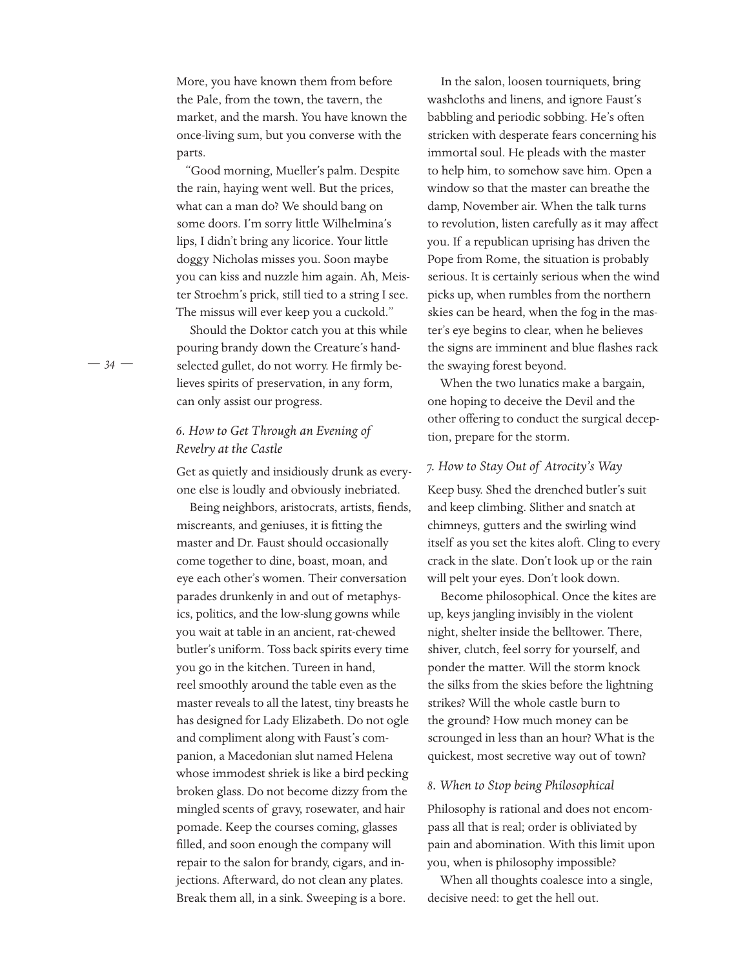More, you have known them from before the Pale, from the town, the tavern, the market, and the marsh. You have known the once-living sum, but you converse with the parts.

"Good morning, Mueller's palm. Despite the rain, haying went well. But the prices, what can a man do? We should bang on some doors. I'm sorry little Wilhelmina's lips, I didn't bring any licorice. Your little doggy Nicholas misses you. Soon maybe you can kiss and nuzzle him again. Ah, Meister Stroehm's prick, still tied to a string I see. The missus will ever keep you a cuckold."

Should the Doktor catch you at this while pouring brandy down the Creature's handselected gullet, do not worry. He firmly believes spirits of preservation, in any form, can only assist our progress.

#### *6. How to Get Through an Evening of Revelry at the Castle*

Get as quietly and insidiously drunk as everyone else is loudly and obviously inebriated.

Being neighbors, aristocrats, artists, fiends, miscreants, and geniuses, it is fitting the master and Dr. Faust should occasionally come together to dine, boast, moan, and eye each other's women. Their conversation parades drunkenly in and out of metaphysics, politics, and the low-slung gowns while you wait at table in an ancient, rat-chewed butler's uniform. Toss back spirits every time you go in the kitchen. Tureen in hand, reel smoothly around the table even as the master reveals to all the latest, tiny breasts he has designed for Lady Elizabeth. Do not ogle and compliment along with Faust's companion, a Macedonian slut named Helena whose immodest shriek is like a bird pecking broken glass. Do not become dizzy from the mingled scents of gravy, rosewater, and hair pomade. Keep the courses coming, glasses filled, and soon enough the company will repair to the salon for brandy, cigars, and injections. Afterward, do not clean any plates. Break them all, in a sink. Sweeping is a bore.

In the salon, loosen tourniquets, bring washcloths and linens, and ignore Faust's babbling and periodic sobbing. He's often stricken with desperate fears concerning his immortal soul. He pleads with the master to help him, to somehow save him. Open a window so that the master can breathe the damp, November air. When the talk turns to revolution, listen carefully as it may affect you. If a republican uprising has driven the Pope from Rome, the situation is probably serious. It is certainly serious when the wind picks up, when rumbles from the northern skies can be heard, when the fog in the master's eye begins to clear, when he believes the signs are imminent and blue flashes rack the swaying forest beyond.

When the two lunatics make a bargain, one hoping to deceive the Devil and the other offering to conduct the surgical deception, prepare for the storm.

#### *7. How to Stay Out of Atrocity's Way*

Keep busy. Shed the drenched butler's suit and keep climbing. Slither and snatch at chimneys, gutters and the swirling wind itself as you set the kites aloft. Cling to every crack in the slate. Don't look up or the rain will pelt your eyes. Don't look down.

Become philosophical. Once the kites are up, keys jangling invisibly in the violent night, shelter inside the belltower. There, shiver, clutch, feel sorry for yourself, and ponder the matter. Will the storm knock the silks from the skies before the lightning strikes? Will the whole castle burn to the ground? How much money can be scrounged in less than an hour? What is the quickest, most secretive way out of town?

#### *8. When to Stop being Philosophical*

Philosophy is rational and does not encompass all that is real; order is obliviated by pain and abomination. With this limit upon you, when is philosophy impossible?

When all thoughts coalesce into a single, decisive need: to get the hell out.

*— 34 —*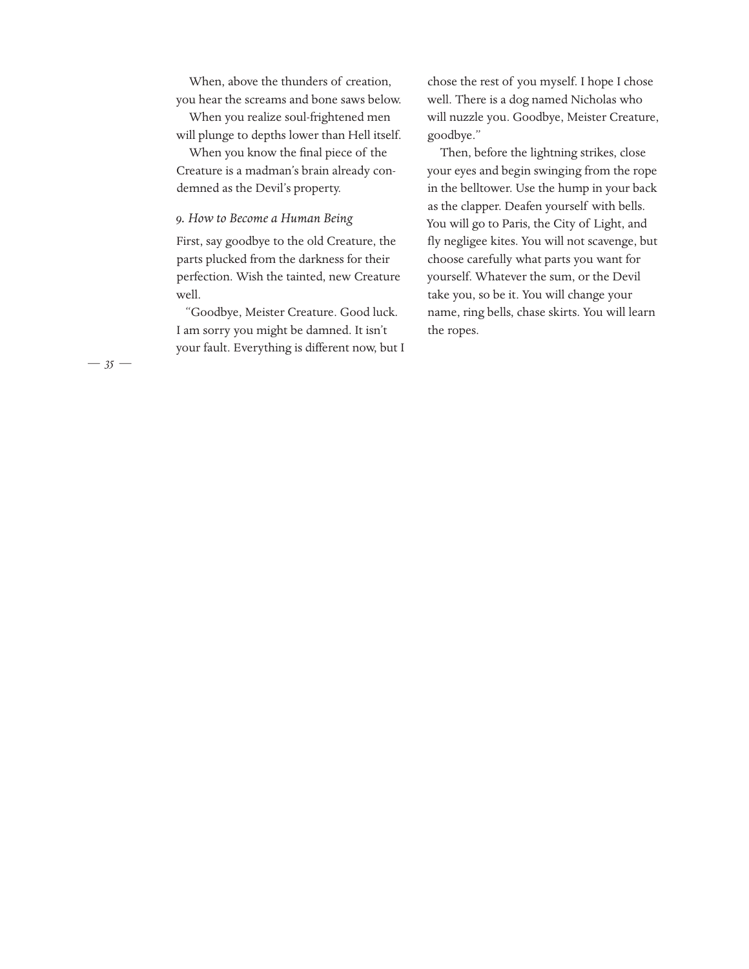When, above the thunders of creation, you hear the screams and bone saws below.

When you realize soul-frightened men will plunge to depths lower than Hell itself.

When you know the final piece of the Creature is a madman's brain already condemned as the Devil's property.

#### *9. How to Become a Human Being*

First, say goodbye to the old Creature, the parts plucked from the darkness for their perfection. Wish the tainted, new Creature well.

"Goodbye, Meister Creature. Good luck. I am sorry you might be damned. It isn't your fault. Everything is different now, but I chose the rest of you myself. I hope I chose well. There is a dog named Nicholas who will nuzzle you. Goodbye, Meister Creature, goodbye."

Then, before the lightning strikes, close your eyes and begin swinging from the rope in the belltower. Use the hump in your back as the clapper. Deafen yourself with bells. You will go to Paris, the City of Light, and fly negligee kites. You will not scavenge, but choose carefully what parts you want for yourself. Whatever the sum, or the Devil take you, so be it. You will change your name, ring bells, chase skirts. You will learn the ropes.

*— 35 —*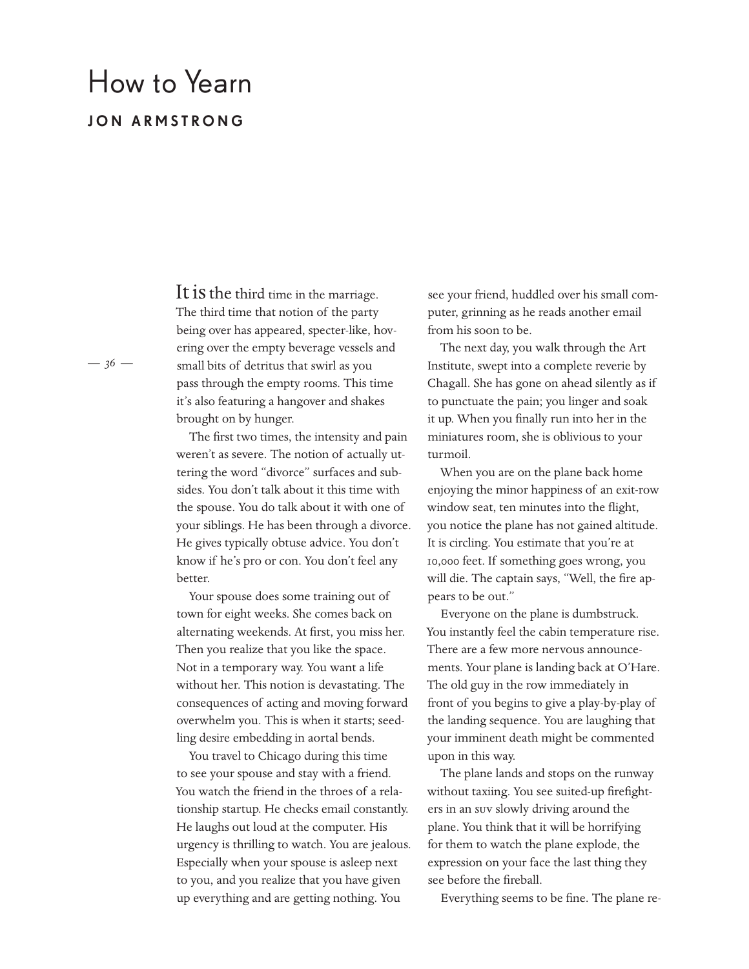### How to Yearn JON ARMSTRONG

It is the third time in the marriage. The third time that notion of the party being over has appeared, specter-like, hovering over the empty beverage vessels and small bits of detritus that swirl as you pass through the empty rooms. This time it's also featuring a hangover and shakes brought on by hunger.

The first two times, the intensity and pain weren't as severe. The notion of actually uttering the word "divorce" surfaces and subsides. You don't talk about it this time with the spouse. You do talk about it with one of your siblings. He has been through a divorce. He gives typically obtuse advice. You don't know if he's pro or con. You don't feel any better.

Your spouse does some training out of town for eight weeks. She comes back on alternating weekends. At first, you miss her. Then you realize that you like the space. Not in a temporary way. You want a life without her. This notion is devastating. The consequences of acting and moving forward overwhelm you. This is when it starts; seedling desire embedding in aortal bends.

You travel to Chicago during this time to see your spouse and stay with a friend. You watch the friend in the throes of a relationship startup. He checks email constantly. He laughs out loud at the computer. His urgency is thrilling to watch. You are jealous. Especially when your spouse is asleep next to you, and you realize that you have given up everything and are getting nothing. You

see your friend, huddled over his small computer, grinning as he reads another email from his soon to be.

The next day, you walk through the Art Institute, swept into a complete reverie by Chagall. She has gone on ahead silently as if to punctuate the pain; you linger and soak it up. When you finally run into her in the miniatures room, she is oblivious to your turmoil.

When you are on the plane back home enjoying the minor happiness of an exit-row window seat, ten minutes into the flight, you notice the plane has not gained altitude. It is circling. You estimate that you're at 10,000 feet. If something goes wrong, you will die. The captain says, "Well, the fire appears to be out."

Everyone on the plane is dumbstruck. You instantly feel the cabin temperature rise. There are a few more nervous announcements. Your plane is landing back at O'Hare. The old guy in the row immediately in front of you begins to give a play-by-play of the landing sequence. You are laughing that your imminent death might be commented upon in this way.

The plane lands and stops on the runway without taxiing. You see suited-up firefighters in an suv slowly driving around the plane. You think that it will be horrifying for them to watch the plane explode, the expression on your face the last thing they see before the fireball.

Everything seems to be fine. The plane re-

*— 36 —*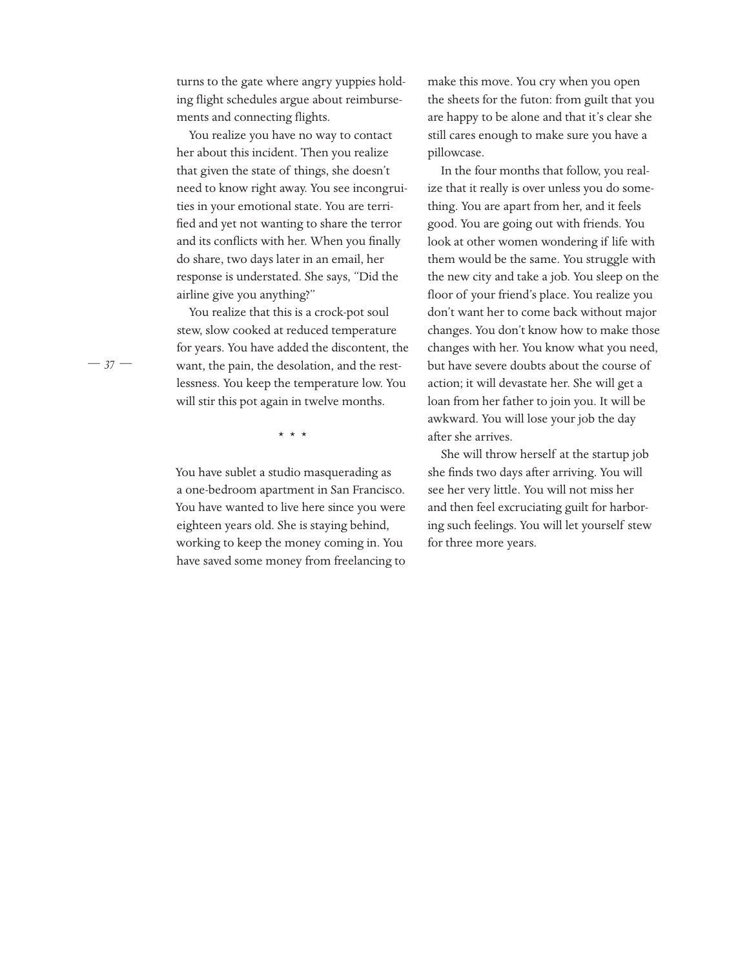turns to the gate where angry yuppies holding flight schedules argue about reimbursements and connecting flights.

You realize you have no way to contact her about this incident. Then you realize that given the state of things, she doesn't need to know right away. You see incongruities in your emotional state. You are terrified and yet not wanting to share the terror and its conflicts with her. When you finally do share, two days later in an email, her response is understated. She says, "Did the airline give you anything?"

You realize that this is a crock-pot soul stew, slow cooked at reduced temperature for years. You have added the discontent, the want, the pain, the desolation, and the restlessness. You keep the temperature low. You will stir this pot again in twelve months.

 $\star \star \star$ 

You have sublet a studio masquerading as a one-bedroom apartment in San Francisco. You have wanted to live here since you were eighteen years old. She is staying behind, working to keep the money coming in. You have saved some money from freelancing to make this move. You cry when you open the sheets for the futon: from guilt that you are happy to be alone and that it's clear she still cares enough to make sure you have a pillowcase.

In the four months that follow, you realize that it really is over unless you do something. You are apart from her, and it feels good. You are going out with friends. You look at other women wondering if life with them would be the same. You struggle with the new city and take a job. You sleep on the floor of your friend's place. You realize you don't want her to come back without major changes. You don't know how to make those changes with her. You know what you need, but have severe doubts about the course of action; it will devastate her. She will get a loan from her father to join you. It will be awkward. You will lose your job the day after she arrives.

She will throw herself at the startup job she finds two days after arriving. You will see her very little. You will not miss her and then feel excruciating guilt for harboring such feelings. You will let yourself stew for three more years.

*— 37 —*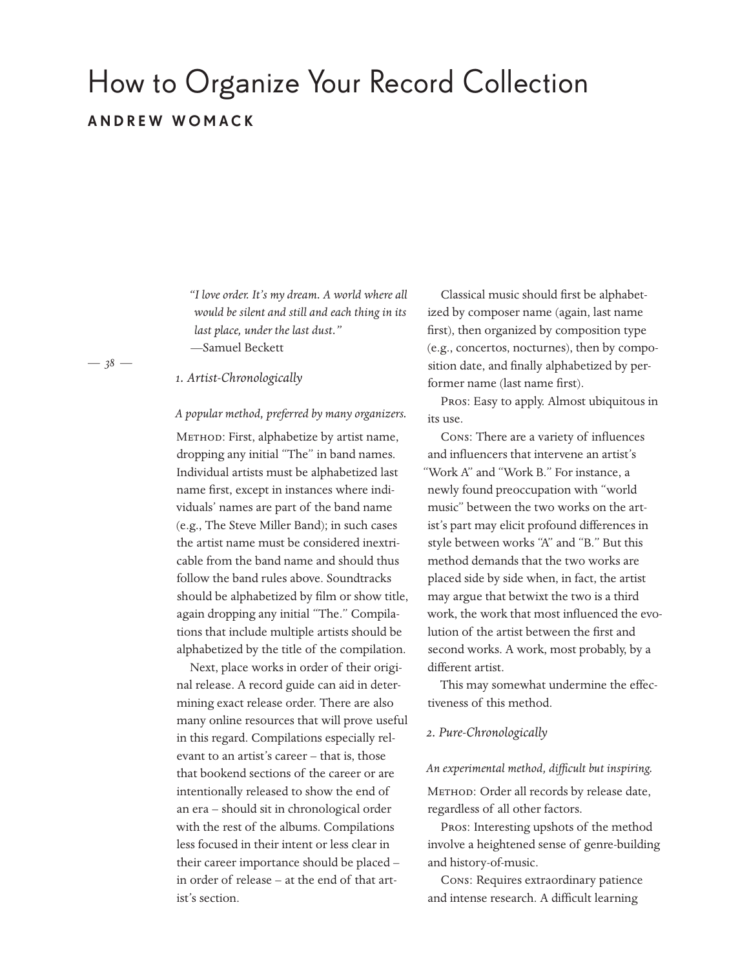### How to Organize Your Record Collection ANDREW WOMACK

*"I love order. It's my dream. A world where all would be silent and still and each thing in its last place, under the last dust."* —Samuel Beckett

*— 38 —*

#### *1. Artist-Chronologically*

*A popular method, preferred by many organizers.*

Method: First, alphabetize by artist name, dropping any initial "The" in band names. Individual artists must be alphabetized last name first, except in instances where individuals' names are part of the band name (e.g., The Steve Miller Band); in such cases the artist name must be considered inextricable from the band name and should thus follow the band rules above. Soundtracks should be alphabetized by film or show title, again dropping any initial "The." Compilations that include multiple artists should be alphabetized by the title of the compilation.

Next, place works in order of their original release. A record guide can aid in determining exact release order. There are also many online resources that will prove useful in this regard. Compilations especially relevant to an artist's career – that is, those that bookend sections of the career or are intentionally released to show the end of an era – should sit in chronological order with the rest of the albums. Compilations less focused in their intent or less clear in their career importance should be placed – in order of release – at the end of that artist's section.

Classical music should first be alphabetized by composer name (again, last name first), then organized by composition type (e.g., concertos, nocturnes), then by composition date, and finally alphabetized by performer name (last name first).

Pros: Easy to apply. Almost ubiquitous in its use.

Cons: There are a variety of influences and influencers that intervene an artist's "Work A" and "Work B." For instance, a newly found preoccupation with "world music" between the two works on the artist's part may elicit profound differences in style between works "A" and "B." But this method demands that the two works are placed side by side when, in fact, the artist may argue that betwixt the two is a third work, the work that most influenced the evolution of the artist between the first and second works. A work, most probably, by a different artist.

This may somewhat undermine the effectiveness of this method.

#### *2. Pure-Chronologically*

An experimental method, difficult but inspiring. Method: Order all records by release date, regardless of all other factors.

Pros: Interesting upshots of the method involve a heightened sense of genre-building and history-of-music.

Cons: Requires extraordinary patience and intense research. A difficult learning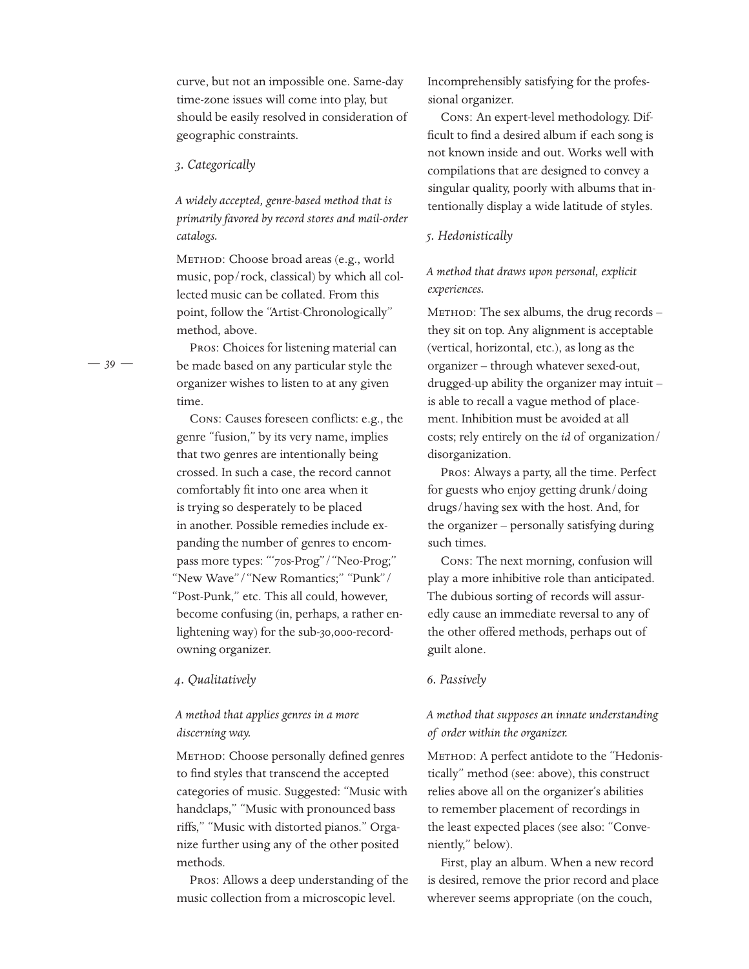curve, but not an impossible one. Same-day time-zone issues will come into play, but should be easily resolved in consideration of geographic constraints.

*3. Categorically*

*A widely accepted, genre-based method that is primarily favored by record stores and mail-order catalogs.*

Method: Choose broad areas (e.g., world music, pop/rock, classical) by which all collected music can be collated. From this point, follow the "Artist-Chronologically" method, above.

Pros: Choices for listening material can be made based on any particular style the organizer wishes to listen to at any given time.

Cons: Causes foreseen conflicts: e.g., the genre "fusion," by its very name, implies that two genres are intentionally being crossed. In such a case, the record cannot comfortably fit into one area when it is trying so desperately to be placed in another. Possible remedies include expanding the number of genres to encompass more types: "'70s-Prog"/"Neo-Prog;" "New Wave"/"New Romantics;" "Punk"/ "Post-Punk," etc. This all could, however, become confusing (in, perhaps, a rather enlightening way) for the sub-30,000-recordowning organizer.

*4. Qualitatively*

#### *A method that applies genres in a more discerning way.*

METHOD: Choose personally defined genres to find styles that transcend the accepted categories of music. Suggested: "Music with handclaps," "Music with pronounced bass riffs," "Music with distorted pianos." Organize further using any of the other posited methods.

Pros: Allows a deep understanding of the music collection from a microscopic level.

Incomprehensibly satisfying for the professional organizer.

Cons: An expert-level methodology. Difficult to find a desired album if each song is not known inside and out. Works well with compilations that are designed to convey a singular quality, poorly with albums that intentionally display a wide latitude of styles.

#### *5. Hedonistically*

*A method that draws upon personal, explicit experiences.*

METHOD: The sex albums, the drug records  $$ they sit on top. Any alignment is acceptable (vertical, horizontal, etc.), as long as the organizer – through whatever sexed-out, drugged-up ability the organizer may intuit – is able to recall a vague method of placement. Inhibition must be avoided at all costs; rely entirely on the *id* of organization/ disorganization.

Pros: Always a party, all the time. Perfect for guests who enjoy getting drunk/doing drugs/having sex with the host. And, for the organizer – personally satisfying during such times.

Cons: The next morning, confusion will play a more inhibitive role than anticipated. The dubious sorting of records will assuredly cause an immediate reversal to any of the other offered methods, perhaps out of guilt alone.

*6. Passively*

#### *A method that supposes an innate understanding of order within the organizer.*

Method: A perfect antidote to the "Hedonistically" method (see: above), this construct relies above all on the organizer's abilities to remember placement of recordings in the least expected places (see also: "Conveniently," below).

First, play an album. When a new record is desired, remove the prior record and place wherever seems appropriate (on the couch,

*— 39 —*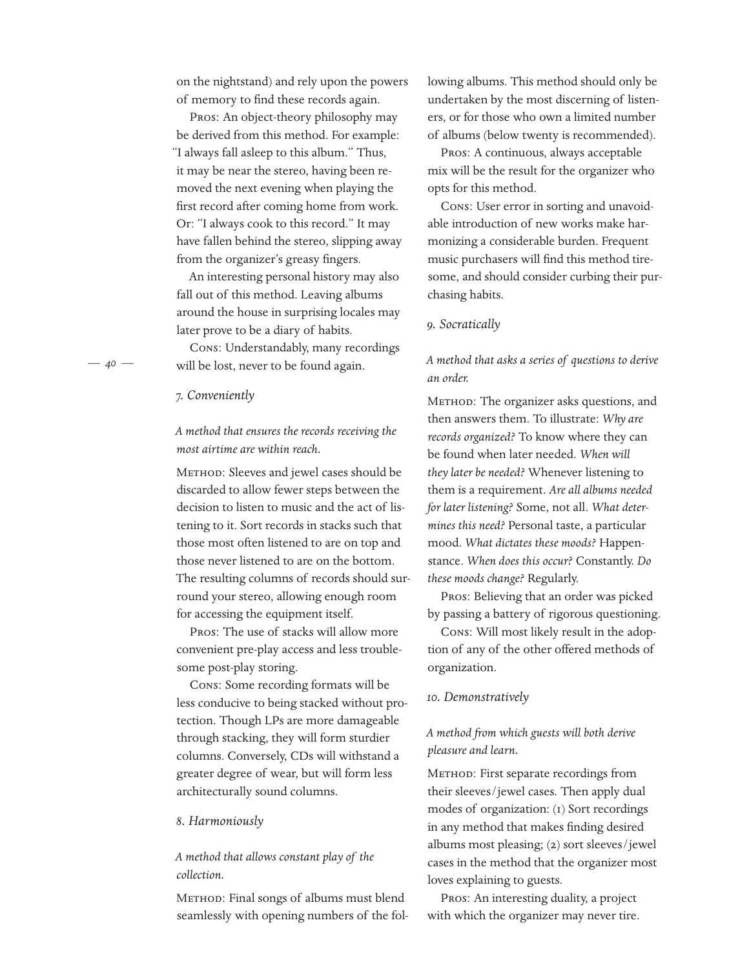on the nightstand) and rely upon the powers of memory to find these records again.

Pros: An object-theory philosophy may be derived from this method. For example: "I always fall asleep to this album." Thus, it may be near the stereo, having been removed the next evening when playing the first record after coming home from work. Or: "I always cook to this record." It may have fallen behind the stereo, slipping away from the organizer's greasy fingers.

An interesting personal history may also fall out of this method. Leaving albums around the house in surprising locales may later prove to be a diary of habits.

Cons: Understandably, many recordings will be lost, never to be found again.

*7. Conveniently*

*A method that ensures the records receiving the most airtime are within reach.*

Method: Sleeves and jewel cases should be discarded to allow fewer steps between the decision to listen to music and the act of listening to it. Sort records in stacks such that those most often listened to are on top and those never listened to are on the bottom. The resulting columns of records should surround your stereo, allowing enough room for accessing the equipment itself.

Pros: The use of stacks will allow more convenient pre-play access and less troublesome post-play storing.

Cons: Some recording formats will be less conducive to being stacked without protection. Though LPs are more damageable through stacking, they will form sturdier columns. Conversely, CDs will withstand a greater degree of wear, but will form less architecturally sound columns.

#### *8. Harmoniously*

#### *A method that allows constant play of the collection.*

Method: Final songs of albums must blend seamlessly with opening numbers of the following albums. This method should only be undertaken by the most discerning of listeners, or for those who own a limited number of albums (below twenty is recommended).

Pros: A continuous, always acceptable mix will be the result for the organizer who opts for this method.

Cons: User error in sorting and unavoidable introduction of new works make harmonizing a considerable burden. Frequent music purchasers will find this method tiresome, and should consider curbing their purchasing habits.

#### *9. Socratically*

#### *A method that asks a series of questions to derive an order.*

Method: The organizer asks questions, and then answers them. To illustrate: *Why are records organized?* To know where they can be found when later needed. *When will they later be needed?* Whenever listening to them is a requirement. *Are all albums needed for later listening?* Some, not all. *What determines this need?* Personal taste, a particular mood. *What dictates these moods?* Happenstance. *When does this occur?* Constantly. *Do these moods change?* Regularly.

Pros: Believing that an order was picked by passing a battery of rigorous questioning.

Cons: Will most likely result in the adoption of any of the other offered methods of organization.

#### *10. Demonstratively*

*A method from which guests will both derive pleasure and learn.*

Method: First separate recordings from their sleeves/jewel cases. Then apply dual modes of organization: (1) Sort recordings in any method that makes finding desired albums most pleasing; (2) sort sleeves/jewel cases in the method that the organizer most loves explaining to guests.

Pros: An interesting duality, a project with which the organizer may never tire.

*— 40 —*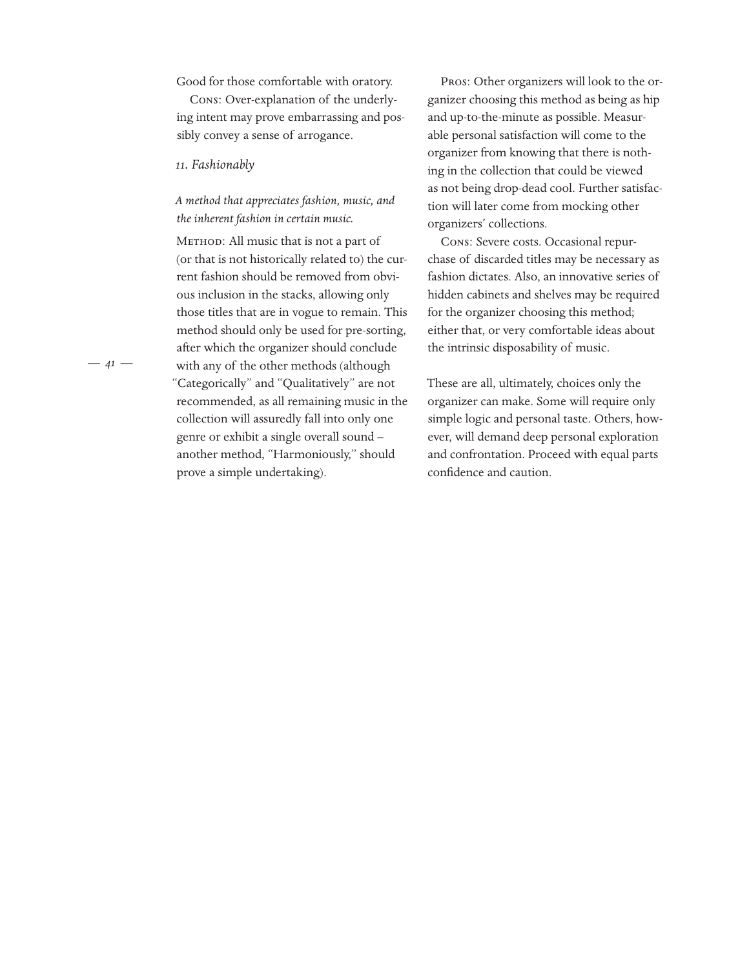Good for those comfortable with oratory.

Cons: Over-explanation of the underlying intent may prove embarrassing and possibly convey a sense of arrogance.

#### *11. Fashionably*

#### *A method that appreciates fashion, music, and the inherent fashion in certain music.*

Method: All music that is not a part of (or that is not historically related to) the current fashion should be removed from obvious inclusion in the stacks, allowing only those titles that are in vogue to remain. This method should only be used for pre-sorting, after which the organizer should conclude with any of the other methods (although "Categorically" and "Qualitatively" are not recommended, as all remaining music in the collection will assuredly fall into only one genre or exhibit a single overall sound – another method, "Harmoniously," should prove a simple undertaking).

Pros: Other organizers will look to the organizer choosing this method as being as hip and up-to-the-minute as possible. Measurable personal satisfaction will come to the organizer from knowing that there is nothing in the collection that could be viewed as not being drop-dead cool. Further satisfaction will later come from mocking other organizers' collections.

Cons: Severe costs. Occasional repurchase of discarded titles may be necessary as fashion dictates. Also, an innovative series of hidden cabinets and shelves may be required for the organizer choosing this method; either that, or very comfortable ideas about the intrinsic disposability of music.

These are all, ultimately, choices only the organizer can make. Some will require only simple logic and personal taste. Others, however, will demand deep personal exploration and confrontation. Proceed with equal parts confidence and caution.

*— 41 —*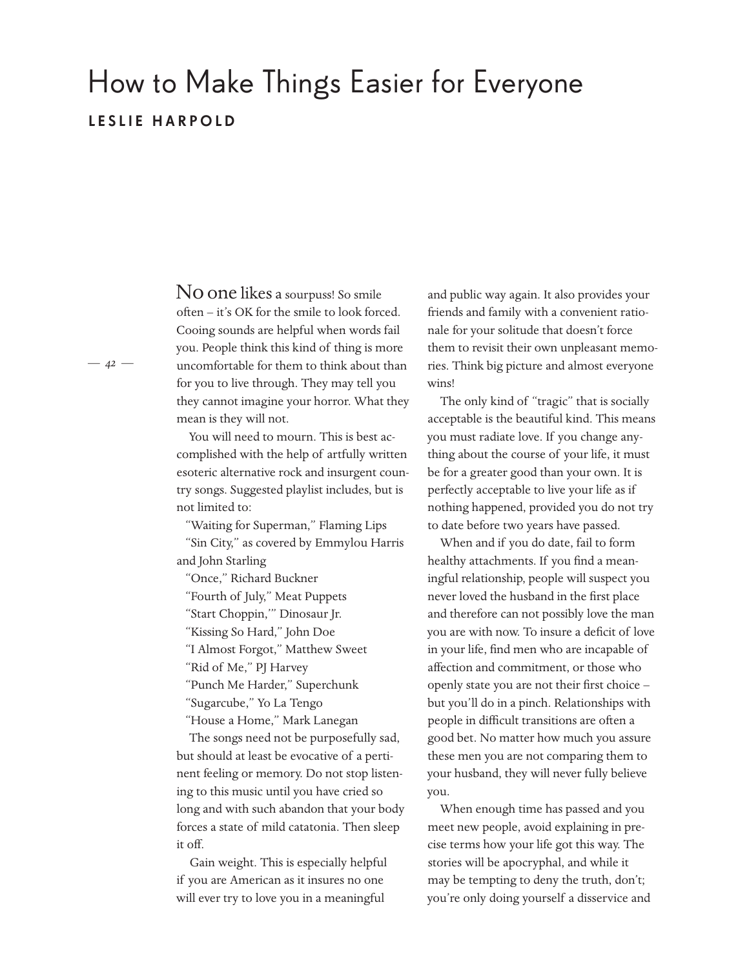### How to Make Things Easier for Everyone LESLIE HARPOLD

No one likes a sourpuss! So smile often – it's OK for the smile to look forced. Cooing sounds are helpful when words fail you. People think this kind of thing is more uncomfortable for them to think about than for you to live through. They may tell you they cannot imagine your horror. What they mean is they will not.

You will need to mourn. This is best accomplished with the help of artfully written esoteric alternative rock and insurgent country songs. Suggested playlist includes, but is not limited to:

"Waiting for Superman," Flaming Lips "Sin City," as covered by Emmylou Harris and John Starling

"Once," Richard Buckner

"Fourth of July," Meat Puppets

"Start Choppin,'" Dinosaur Jr.

"Kissing So Hard," John Doe

"I Almost Forgot," Matthew Sweet

"Rid of Me," PJ Harvey

"Punch Me Harder," Superchunk

"Sugarcube," Yo La Tengo

"House a Home," Mark Lanegan

The songs need not be purposefully sad, but should at least be evocative of a pertinent feeling or memory. Do not stop listening to this music until you have cried so long and with such abandon that your body forces a state of mild catatonia. Then sleep it off.

Gain weight. This is especially helpful if you are American as it insures no one will ever try to love you in a meaningful

and public way again. It also provides your friends and family with a convenient rationale for your solitude that doesn't force them to revisit their own unpleasant memories. Think big picture and almost everyone wins!

The only kind of "tragic" that is socially acceptable is the beautiful kind. This means you must radiate love. If you change anything about the course of your life, it must be for a greater good than your own. It is perfectly acceptable to live your life as if nothing happened, provided you do not try to date before two years have passed.

When and if you do date, fail to form healthy attachments. If you find a meaningful relationship, people will suspect you never loved the husband in the first place and therefore can not possibly love the man you are with now. To insure a deficit of love in your life, find men who are incapable of affection and commitment, or those who openly state you are not their first choice – but you'll do in a pinch. Relationships with people in difficult transitions are often a good bet. No matter how much you assure these men you are not comparing them to your husband, they will never fully believe you.

When enough time has passed and you meet new people, avoid explaining in precise terms how your life got this way. The stories will be apocryphal, and while it may be tempting to deny the truth, don't; you're only doing yourself a disservice and

*— 42 —*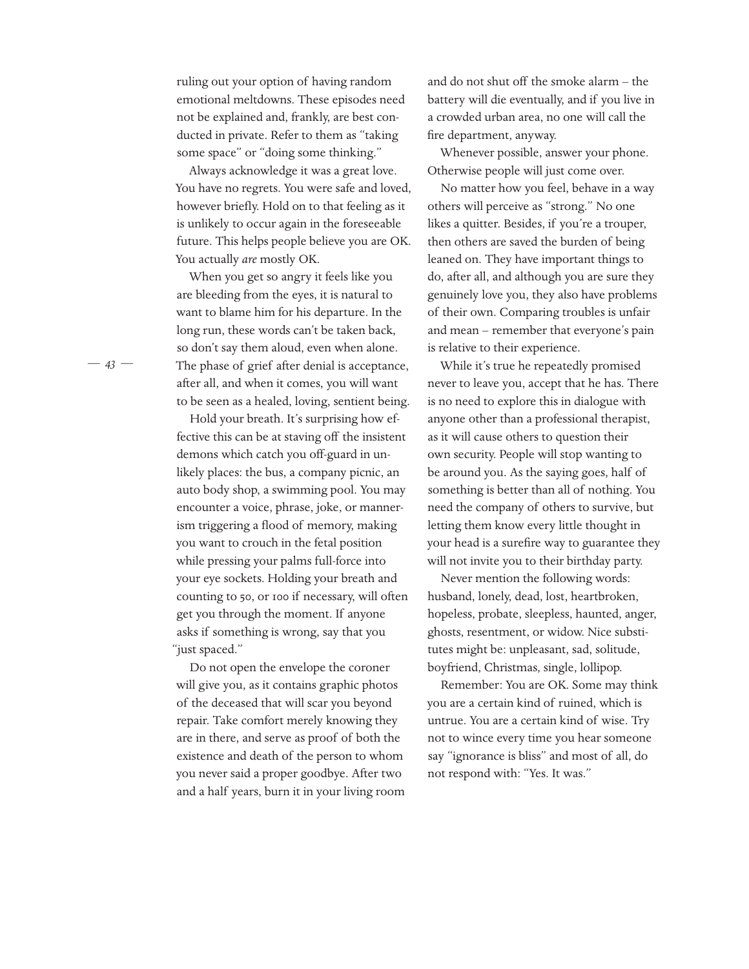ruling out your option of having random emotional meltdowns. These episodes need not be explained and, frankly, are best conducted in private. Refer to them as "taking some space" or "doing some thinking."

Always acknowledge it was a great love. You have no regrets. You were safe and loved, however briefly. Hold on to that feeling as it is unlikely to occur again in the foreseeable future. This helps people believe you are OK. You actually *are* mostly OK.

When you get so angry it feels like you are bleeding from the eyes, it is natural to want to blame him for his departure. In the long run, these words can't be taken back, so don't say them aloud, even when alone. The phase of grief after denial is acceptance, after all, and when it comes, you will want to be seen as a healed, loving, sentient being.

Hold your breath. It's surprising how effective this can be at staving off the insistent demons which catch you off-guard in unlikely places: the bus, a company picnic, an auto body shop, a swimming pool. You may encounter a voice, phrase, joke, or mannerism triggering a flood of memory, making you want to crouch in the fetal position while pressing your palms full-force into your eye sockets. Holding your breath and counting to 50, or 100 if necessary, will often get you through the moment. If anyone asks if something is wrong, say that you "just spaced."

Do not open the envelope the coroner will give you, as it contains graphic photos of the deceased that will scar you beyond repair. Take comfort merely knowing they are in there, and serve as proof of both the existence and death of the person to whom you never said a proper goodbye. After two and a half years, burn it in your living room and do not shut off the smoke alarm – the battery will die eventually, and if you live in a crowded urban area, no one will call the fire department, anyway.

Whenever possible, answer your phone. Otherwise people will just come over.

No matter how you feel, behave in a way others will perceive as "strong." No one likes a quitter. Besides, if you're a trouper, then others are saved the burden of being leaned on. They have important things to do, after all, and although you are sure they genuinely love you, they also have problems of their own. Comparing troubles is unfair and mean – remember that everyone's pain is relative to their experience.

While it's true he repeatedly promised never to leave you, accept that he has. There is no need to explore this in dialogue with anyone other than a professional therapist, as it will cause others to question their own security. People will stop wanting to be around you. As the saying goes, half of something is better than all of nothing. You need the company of others to survive, but letting them know every little thought in your head is a surefire way to guarantee they will not invite you to their birthday party.

Never mention the following words: husband, lonely, dead, lost, heartbroken, hopeless, probate, sleepless, haunted, anger, ghosts, resentment, or widow. Nice substitutes might be: unpleasant, sad, solitude, boyfriend, Christmas, single, lollipop.

Remember: You are OK. Some may think you are a certain kind of ruined, which is untrue. You are a certain kind of wise. Try not to wince every time you hear someone say "ignorance is bliss" and most of all, do not respond with: "Yes. It was."

*— 43 —*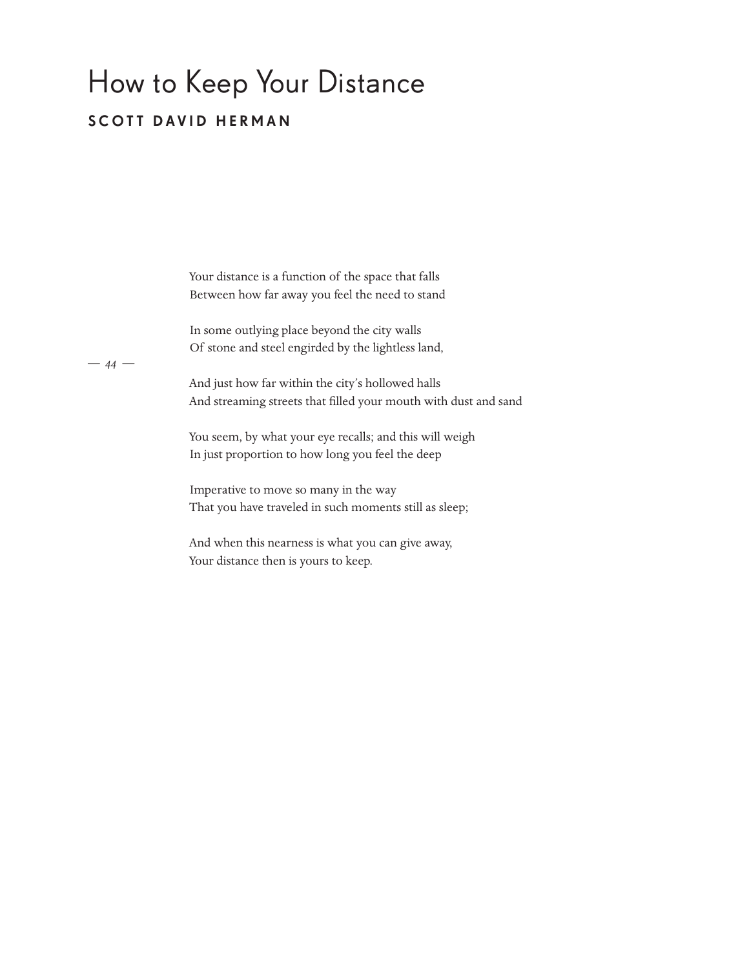### How to Keep Your Distance SCOTT DAVID HERMAN

Your distance is a function of the space that falls Between how far away you feel the need to stand

In some outlying place beyond the city walls Of stone and steel engirded by the lightless land,

*— 44 —*

And just how far within the city's hollowed halls And streaming streets that filled your mouth with dust and sand

You seem, by what your eye recalls; and this will weigh In just proportion to how long you feel the deep

Imperative to move so many in the way That you have traveled in such moments still as sleep;

And when this nearness is what you can give away, Your distance then is yours to keep.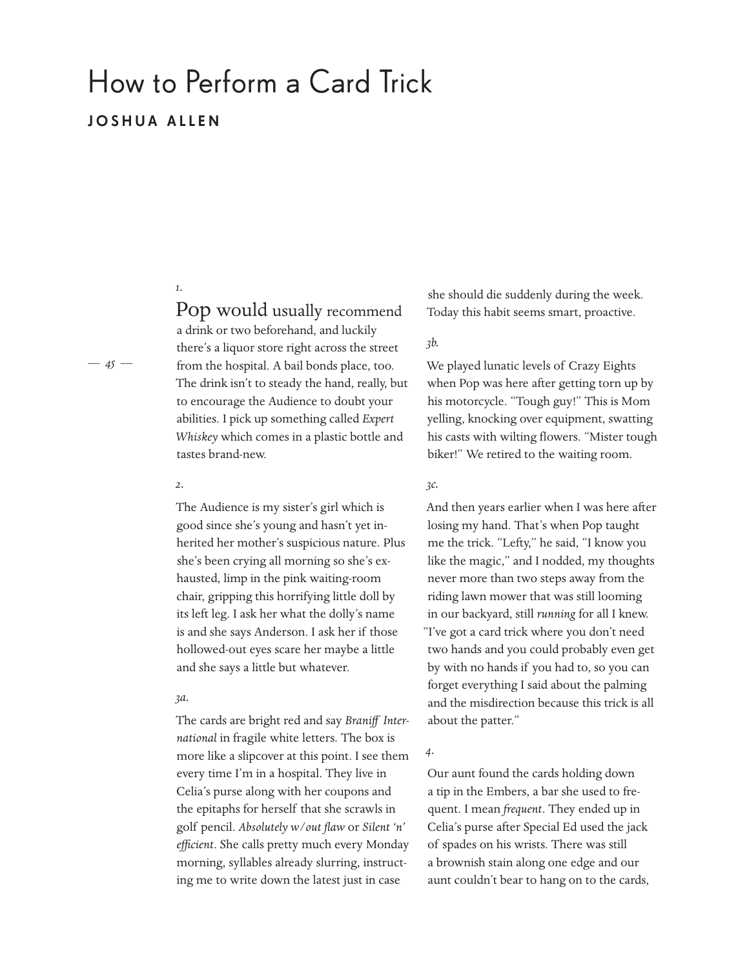### How to Perform a Card Trick JOSHUA ALLEN

#### *1.*

Pop would usually recommend a drink or two beforehand, and luckily there's a liquor store right across the street from the hospital. A bail bonds place, too. The drink isn't to steady the hand, really, but

to encourage the Audience to doubt your abilities. I pick up something called *Expert Whiskey* which comes in a plastic bottle and tastes brand-new.

*2.*

The Audience is my sister's girl which is good since she's young and hasn't yet inherited her mother's suspicious nature. Plus she's been crying all morning so she's exhausted, limp in the pink waiting-room chair, gripping this horrifying little doll by its left leg. I ask her what the dolly's name is and she says Anderson. I ask her if those hollowed-out eyes scare her maybe a little and she says a little but whatever.

#### *3a.*

The cards are bright red and say *Braniff International* in fragile white letters. The box is more like a slipcover at this point. I see them every time I'm in a hospital. They live in Celia's purse along with her coupons and the epitaphs for herself that she scrawls in golf pencil. Absolutely w/out flaw or Silent 'n' efficient. She calls pretty much every Monday morning, syllables already slurring, instructing me to write down the latest just in case

she should die suddenly during the week. Today this habit seems smart, proactive.

#### *3b.*

We played lunatic levels of Crazy Eights when Pop was here after getting torn up by his motorcycle. "Tough guy!" This is Mom yelling, knocking over equipment, swatting his casts with wilting flowers. "Mister tough biker!" We retired to the waiting room.

#### *3c.*

And then years earlier when I was here after losing my hand. That's when Pop taught me the trick. "Lefty," he said, "I know you like the magic," and I nodded, my thoughts never more than two steps away from the riding lawn mower that was still looming in our backyard, still *running* for all I knew. "I've got a card trick where you don't need two hands and you could probably even get by with no hands if you had to, so you can forget everything I said about the palming and the misdirection because this trick is all about the patter."

#### *4.*

Our aunt found the cards holding down a tip in the Embers, a bar she used to frequent. I mean *frequent*. They ended up in Celia's purse after Special Ed used the jack of spades on his wrists. There was still a brownish stain along one edge and our aunt couldn't bear to hang on to the cards,

*— 45 —*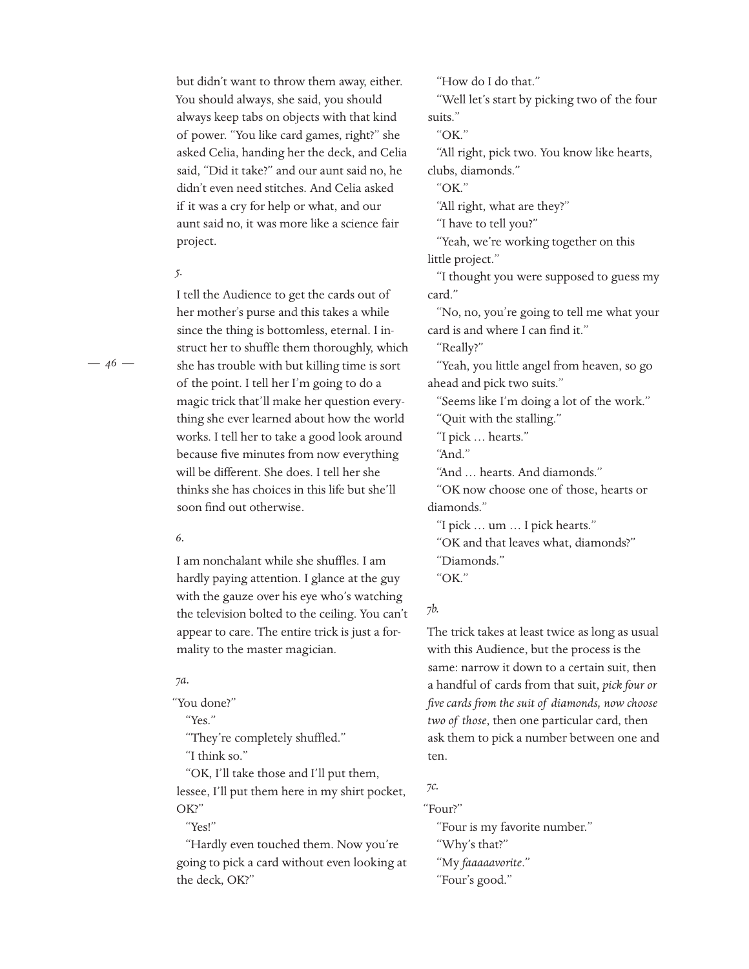but didn't want to throw them away, either. You should always, she said, you should always keep tabs on objects with that kind of power. "You like card games, right?" she asked Celia, handing her the deck, and Celia said, "Did it take?" and our aunt said no, he didn't even need stitches. And Celia asked if it was a cry for help or what, and our aunt said no, it was more like a science fair project.

*5.*

I tell the Audience to get the cards out of her mother's purse and this takes a while since the thing is bottomless, eternal. I instruct her to shuffle them thoroughly, which she has trouble with but killing time is sort of the point. I tell her I'm going to do a magic trick that'll make her question everything she ever learned about how the world works. I tell her to take a good look around because five minutes from now everything will be different. She does. I tell her she thinks she has choices in this life but she'll soon find out otherwise.

#### *6.*

I am nonchalant while she shuffles. I am hardly paying attention. I glance at the guy with the gauze over his eye who's watching the television bolted to the ceiling. You can't appear to care. The entire trick is just a formality to the master magician.

#### *7a.*

"You done?"

"Yes."

"They're completely shuffled."

"I think so."

"OK, I'll take those and I'll put them, lessee, I'll put them here in my shirt pocket, OK?"

"Yes!"

"Hardly even touched them. Now you're going to pick a card without even looking at the deck, OK?"

"How do I do that."

"Well let's start by picking two of the four suits."

"OK."

"All right, pick two. You know like hearts, clubs, diamonds."

"OK."

"All right, what are they?"

"I have to tell you?"

"Yeah, we're working together on this

little project." "I thought you were supposed to guess my card."

"No, no, you're going to tell me what your card is and where I can find it."

"Really?"

"Yeah, you little angel from heaven, so go ahead and pick two suits."

"Seems like I'm doing a lot of the work."

"Quit with the stalling."

"I pick … hearts."

"And."

"And … hearts. And diamonds."

"OK now choose one of those, hearts or diamonds."

"I pick … um … I pick hearts."

"OK and that leaves what, diamonds?"

"Diamonds."

"OK."

#### *7b.*

The trick takes at least twice as long as usual with this Audience, but the process is the same: narrow it down to a certain suit, then a handful of cards from that suit, *pick four or fi ve cards from the suit of diamonds, now choose two of those*, then one particular card, then ask them to pick a number between one and ten.

#### *7c.*

"Four?"

"Four is my favorite number." "Why's that?" "My *faaaaavorite*." "Four's good."

*— 46 —*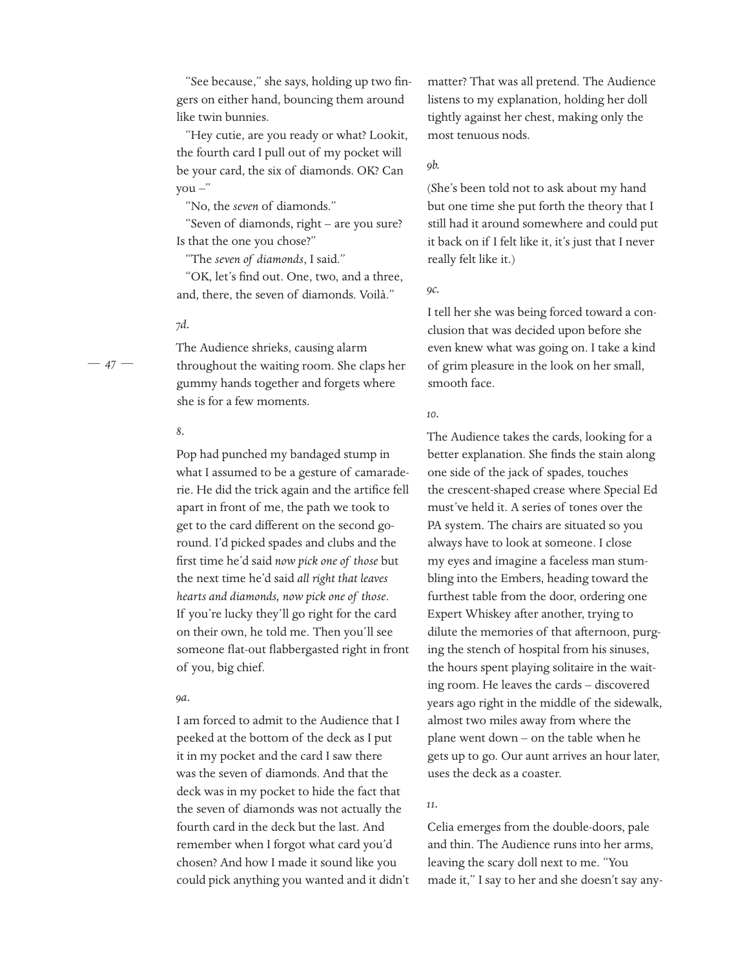"See because," she says, holding up two fingers on either hand, bouncing them around like twin bunnies.

"Hey cutie, are you ready or what? Lookit, the fourth card I pull out of my pocket will be your card, the six of diamonds. OK? Can you  $-$ "

"No, the *seven* of diamonds."

"Seven of diamonds, right – are you sure? Is that the one you chose?"

"The *seven of diamonds*, I said."

"OK, let's find out. One, two, and a three, and, there, the seven of diamonds. Voilà."

#### *7d.*

The Audience shrieks, causing alarm throughout the waiting room. She claps her gummy hands together and forgets where she is for a few moments.

#### *8.*

Pop had punched my bandaged stump in what I assumed to be a gesture of camaraderie. He did the trick again and the artifice fell apart in front of me, the path we took to get to the card different on the second goround. I'd picked spades and clubs and the first time he'd said *now pick one of those* but the next time he'd said *all right that leaves hearts and diamonds, now pick one of those*. If you're lucky they'll go right for the card on their own, he told me. Then you'll see someone flat-out flabbergasted right in front of you, big chief.

#### *9a.*

I am forced to admit to the Audience that I peeked at the bottom of the deck as I put it in my pocket and the card I saw there was the seven of diamonds. And that the deck was in my pocket to hide the fact that the seven of diamonds was not actually the fourth card in the deck but the last. And remember when I forgot what card you'd chosen? And how I made it sound like you could pick anything you wanted and it didn't matter? That was all pretend. The Audience listens to my explanation, holding her doll tightly against her chest, making only the most tenuous nods.

#### *9b.*

(She's been told not to ask about my hand but one time she put forth the theory that I still had it around somewhere and could put it back on if I felt like it, it's just that I never really felt like it.)

#### *9c.*

I tell her she was being forced toward a conclusion that was decided upon before she even knew what was going on. I take a kind of grim pleasure in the look on her small, smooth face.

#### *10.*

The Audience takes the cards, looking for a better explanation. She finds the stain along one side of the jack of spades, touches the crescent-shaped crease where Special Ed must've held it. A series of tones over the PA system. The chairs are situated so you always have to look at someone. I close my eyes and imagine a faceless man stumbling into the Embers, heading toward the furthest table from the door, ordering one Expert Whiskey after another, trying to dilute the memories of that afternoon, purging the stench of hospital from his sinuses, the hours spent playing solitaire in the waiting room. He leaves the cards – discovered years ago right in the middle of the sidewalk, almost two miles away from where the plane went down – on the table when he gets up to go. Our aunt arrives an hour later, uses the deck as a coaster.

#### *11.*

Celia emerges from the double-doors, pale and thin. The Audience runs into her arms, leaving the scary doll next to me. "You made it," I say to her and she doesn't say any-

*— 47 —*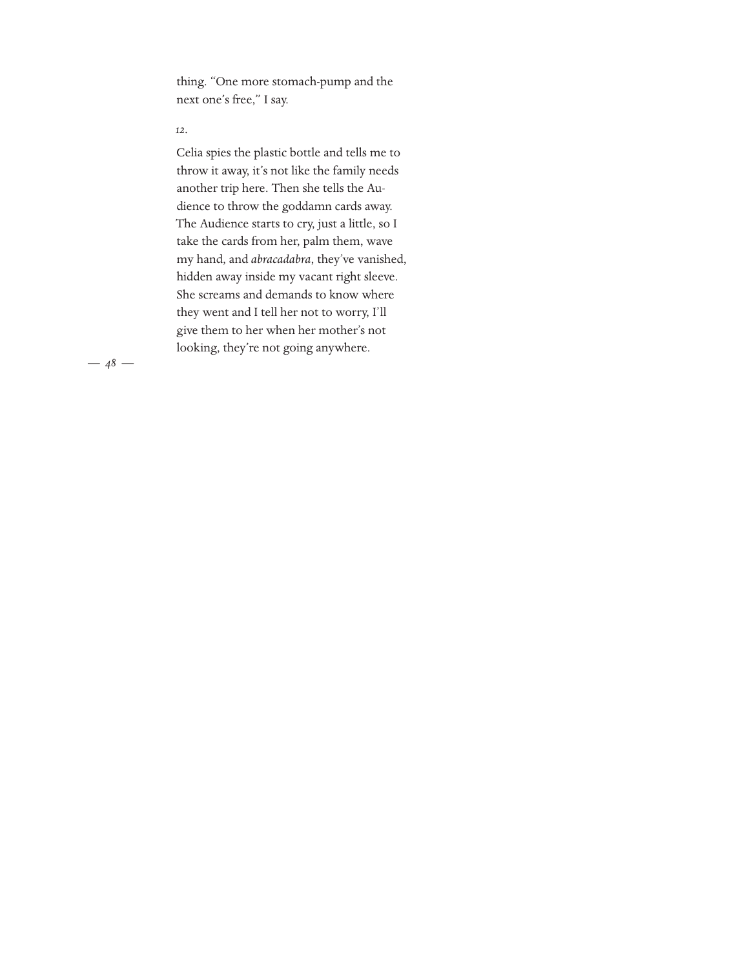thing. "One more stomach-pump and the next one's free," I say.

*12.*

Celia spies the plastic bottle and tells me to throw it away, it's not like the family needs another trip here. Then she tells the Audience to throw the goddamn cards away. The Audience starts to cry, just a little, so I take the cards from her, palm them, wave my hand, and *abracadabra*, they've vanished, hidden away inside my vacant right sleeve. She screams and demands to know where they went and I tell her not to worry, I'll give them to her when her mother's not looking, they're not going anywhere.

*— 48 —*